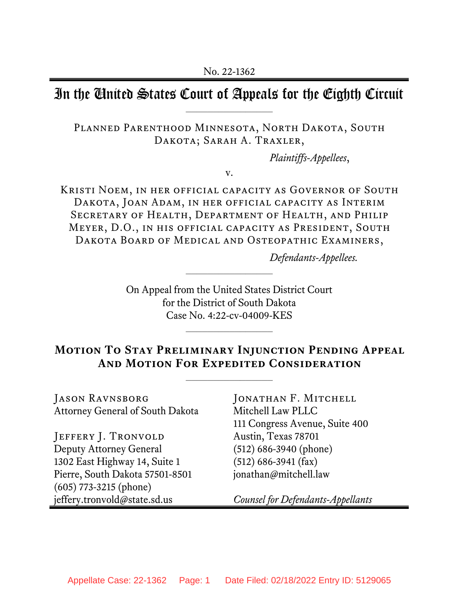# In the United States Court of Appeals for the Eighth Circuit

Planned Parenthood Minnesota, North Dakota, South DAKOTA; SARAH A. TRAXLER,

*Plaintiffs-Appellees*,

v.

Kristi Noem, in her official capacity as Governor of South Dakota, Joan Adam, in her official capacity as Interim Secretary of Health, Department of Health, and Philip Meyer, D.O., in his official capacity as President, South Dakota Board of Medical and Osteopathic Examiners,

*Defendants-Appellees.*

On Appeal from the United States District Court for the District of South Dakota Case No. 4:22-cv-04009-KES

# **Motion To Stay Preliminary Injunction Pending Appeal And Motion For Expedited Consideration**

 $\mathcal{L}_\text{max}$ 

Jason Ravnsborg Attorney General of South Dakota

JEFFERY J. TRONVOLD Deputy Attorney General 1302 East Highway 14, Suite 1 Pierre, South Dakota 57501-8501 (605) 773-3215 (phone) jeffery.tronvold@state.sd.us

JONATHAN F. MITCHELL Mitchell Law PLLC 111 Congress Avenue, Suite 400 Austin, Texas 78701 (512) 686-3940 (phone) (512) 686-3941 (fax) jonathan@mitchell.law

*Counsel for Defendants-Appellants*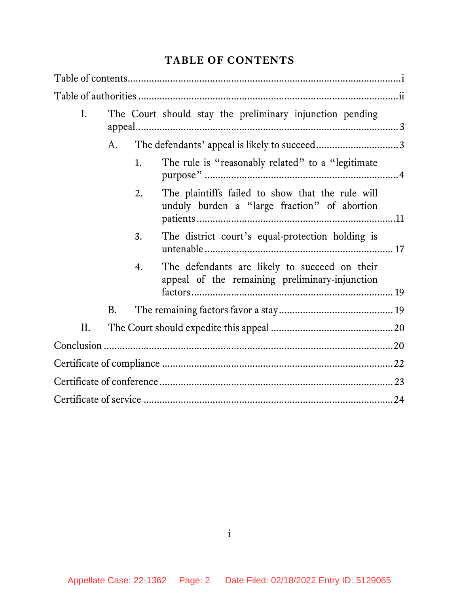# **TABLE OF CONTENTS**

| Ι.  | The Court should stay the preliminary injunction pending |    |                                                                                                  |  |
|-----|----------------------------------------------------------|----|--------------------------------------------------------------------------------------------------|--|
|     | A.                                                       |    |                                                                                                  |  |
|     |                                                          | 1. | The rule is "reasonably related" to a "legitimate"                                               |  |
|     |                                                          | 2. | The plaintiffs failed to show that the rule will<br>unduly burden a "large fraction" of abortion |  |
|     |                                                          | 3. | The district court's equal-protection holding is                                                 |  |
|     |                                                          | 4. | The defendants are likely to succeed on their<br>appeal of the remaining preliminary-injunction  |  |
|     | <b>B.</b>                                                |    |                                                                                                  |  |
| ΙΙ. |                                                          |    |                                                                                                  |  |
|     |                                                          |    |                                                                                                  |  |
|     |                                                          |    |                                                                                                  |  |
|     |                                                          |    |                                                                                                  |  |
|     |                                                          |    |                                                                                                  |  |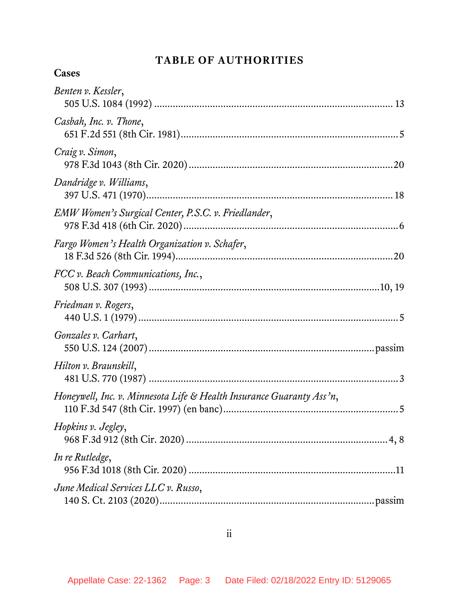# **TABLE OF AUTHORITIES**

# **Cases**

| Benten v. Kessler,                                                   |
|----------------------------------------------------------------------|
| Casbah, Inc. v. Thone,                                               |
| Craig v. Simon,                                                      |
| Dandridge v. Williams,                                               |
| EMW Women's Surgical Center, P.S.C. v. Friedlander,                  |
| Fargo Women's Health Organization v. Schafer,                        |
| FCC v. Beach Communications, Inc.,                                   |
| Friedman v. Rogers,                                                  |
| Gonzales v. Carhart,                                                 |
| Hilton v. Braunskill,                                                |
| Honeywell, Inc. v. Minnesota Life & Health Insurance Guaranty Ass'n, |
| Hopkins v. Jegley,                                                   |
| In re Rutledge,                                                      |
| June Medical Services LLC v. Russo,                                  |

ii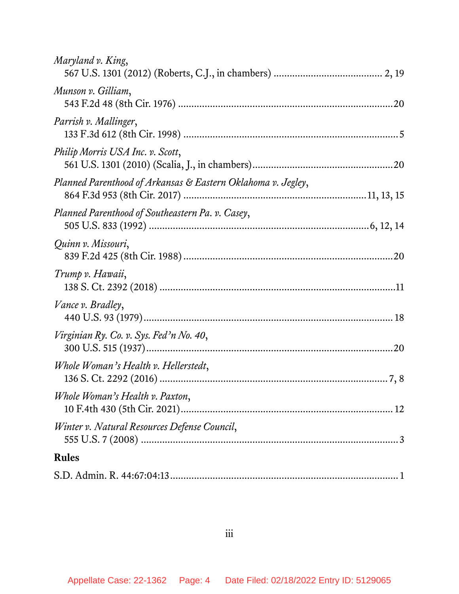| Maryland v. King,                                            |
|--------------------------------------------------------------|
| Munson v. Gilliam,                                           |
| Parrish v. Mallinger,                                        |
| Philip Morris USA Inc. v. Scott,                             |
| Planned Parenthood of Arkansas & Eastern Oklahoma v. Jegley, |
| Planned Parenthood of Southeastern Pa. v. Casey,             |
| Quinn v. Missouri,                                           |
| Trump v. Hawaii,                                             |
| Vance v. Bradley,                                            |
| Virginian Ry. Co. v. Sys. Fed'n No. 40,                      |
| Whole Woman's Health v. Hellerstedt,                         |
| Whole Woman's Health v. Paxton,                              |
| Winter v. Natural Resources Defense Council,                 |
| <b>Rules</b>                                                 |
|                                                              |

iii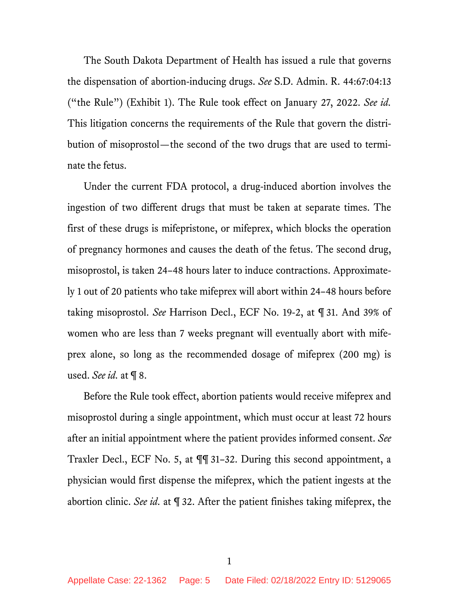The South Dakota Department of Health has issued a rule that governs the dispensation of abortion-inducing drugs. *See* S.D. Admin. R. 44:67:04:13 ("the Rule") (Exhibit 1). The Rule took effect on January 27, 2022. *See id.* This litigation concerns the requirements of the Rule that govern the distribution of misoprostol—the second of the two drugs that are used to terminate the fetus.

Under the current FDA protocol, a drug-induced abortion involves the ingestion of two different drugs that must be taken at separate times. The first of these drugs is mifepristone, or mifeprex, which blocks the operation of pregnancy hormones and causes the death of the fetus. The second drug, misoprostol, is taken 24–48 hours later to induce contractions. Approximately 1 out of 20 patients who take mifeprex will abort within 24–48 hours before taking misoprostol. *See* Harrison Decl., ECF No. 19-2, at ¶ 31. And 39% of women who are less than 7 weeks pregnant will eventually abort with mifeprex alone, so long as the recommended dosage of mifeprex (200 mg) is used. *See id.* at ¶ 8.

Before the Rule took effect, abortion patients would receive mifeprex and misoprostol during a single appointment, which must occur at least 72 hours after an initial appointment where the patient provides informed consent. *See* Traxler Decl., ECF No. 5, at ¶¶ 31–32. During this second appointment, a physician would first dispense the mifeprex, which the patient ingests at the abortion clinic. *See id.* at ¶ 32. After the patient finishes taking mifeprex, the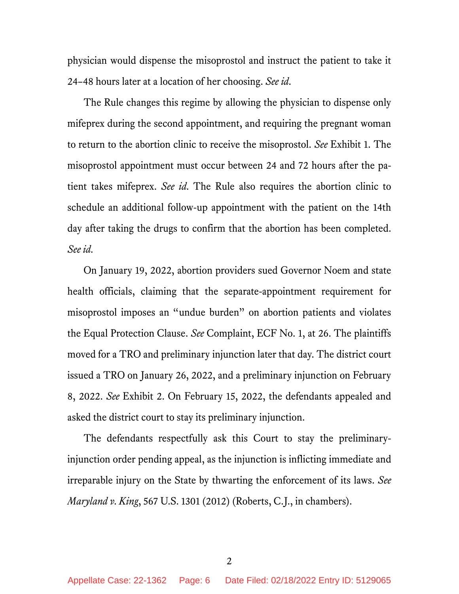physician would dispense the misoprostol and instruct the patient to take it 24–48 hours later at a location of her choosing. *See id.*

The Rule changes this regime by allowing the physician to dispense only mifeprex during the second appointment, and requiring the pregnant woman to return to the abortion clinic to receive the misoprostol. *See* Exhibit 1. The misoprostol appointment must occur between 24 and 72 hours after the patient takes mifeprex. *See id.* The Rule also requires the abortion clinic to schedule an additional follow-up appointment with the patient on the 14th day after taking the drugs to confirm that the abortion has been completed. *See id.*

On January 19, 2022, abortion providers sued Governor Noem and state health officials, claiming that the separate-appointment requirement for misoprostol imposes an "undue burden" on abortion patients and violates the Equal Protection Clause. *See* Complaint, ECF No. 1, at 26. The plaintiffs moved for a TRO and preliminary injunction later that day. The district court issued a TRO on January 26, 2022, and a preliminary injunction on February 8, 2022. *See* Exhibit 2. On February 15, 2022, the defendants appealed and asked the district court to stay its preliminary injunction.

The defendants respectfully ask this Court to stay the preliminaryinjunction order pending appeal, as the injunction is inflicting immediate and irreparable injury on the State by thwarting the enforcement of its laws. *See Maryland v. King*, 567 U.S. 1301 (2012) (Roberts, C.J., in chambers).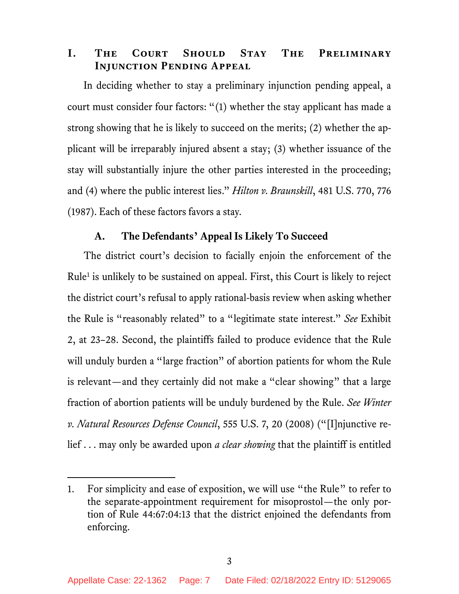## **I. The Court Should Stay The Preliminary Injunction Pending Appeal**

In deciding whether to stay a preliminary injunction pending appeal, a court must consider four factors: "(1) whether the stay applicant has made a strong showing that he is likely to succeed on the merits; (2) whether the applicant will be irreparably injured absent a stay; (3) whether issuance of the stay will substantially injure the other parties interested in the proceeding; and (4) where the public interest lies." *Hilton v. Braunskill*, 481 U.S. 770, 776 (1987). Each of these factors favors a stay.

### **A. The Defendants' Appeal Is Likely To Succeed**

The district court's decision to facially enjoin the enforcement of the Rule<sup>1</sup> is unlikely to be sustained on appeal. First, this Court is likely to reject the district court's refusal to apply rational-basis review when asking whether the Rule is "reasonably related" to a "legitimate state interest." *See* Exhibit 2, at 23–28. Second, the plaintiffs failed to produce evidence that the Rule will unduly burden a "large fraction" of abortion patients for whom the Rule is relevant—and they certainly did not make a "clear showing" that a large fraction of abortion patients will be unduly burdened by the Rule. *See Winter v. Natural Resources Defense Council*, 555 U.S. 7, 20 (2008) ("[I]njunctive relief . . . may only be awarded upon *a clear showing* that the plaintiff is entitled

<sup>1.</sup> For simplicity and ease of exposition, we will use "the Rule" to refer to the separate-appointment requirement for misoprostol—the only portion of Rule 44:67:04:13 that the district enjoined the defendants from enforcing.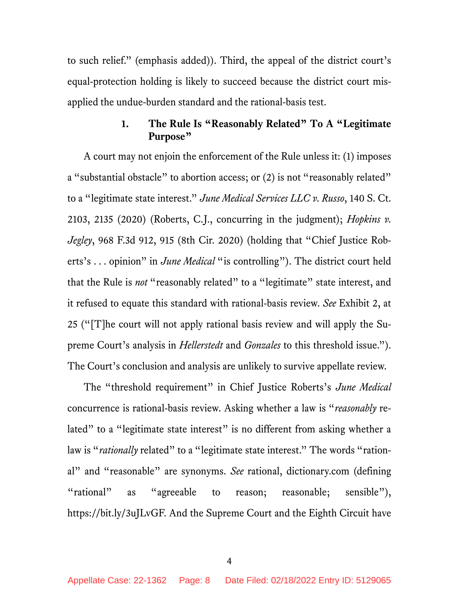to such relief." (emphasis added)). Third, the appeal of the district court's equal-protection holding is likely to succeed because the district court misapplied the undue-burden standard and the rational-basis test.

# **1. The Rule Is "Reasonably Related" To A "Legitimate Purpose"**

A court may not enjoin the enforcement of the Rule unless it: (1) imposes a "substantial obstacle" to abortion access; or (2) is not "reasonably related" to a "legitimate state interest." *June Medical Services LLC v. Russo*, 140 S. Ct. 2103, 2135 (2020) (Roberts, C.J., concurring in the judgment); *Hopkins v. Jegley*, 968 F.3d 912, 915 (8th Cir. 2020) (holding that "Chief Justice Roberts's . . . opinion" in *June Medical* "is controlling"). The district court held that the Rule is *not* "reasonably related" to a "legitimate" state interest, and it refused to equate this standard with rational-basis review. *See* Exhibit 2, at 25 ("[T]he court will not apply rational basis review and will apply the Supreme Court's analysis in *Hellerstedt* and *Gonzales* to this threshold issue."). The Court's conclusion and analysis are unlikely to survive appellate review.

The "threshold requirement" in Chief Justice Roberts's *June Medical* concurrence is rational-basis review. Asking whether a law is "*reasonably* related" to a "legitimate state interest" is no different from asking whether a law is "*rationally* related" to a "legitimate state interest." The words "rational" and "reasonable" are synonyms. *See* rational, dictionary.com (defining "rational" as "agreeable to reason; reasonable; sensible"), https://bit.ly/3uJLvGF. And the Supreme Court and the Eighth Circuit have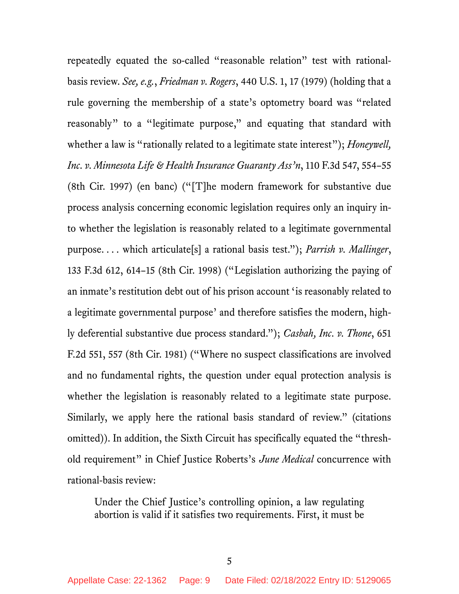repeatedly equated the so-called "reasonable relation" test with rationalbasis review. *See, e.g.*, *Friedman v. Rogers*, 440 U.S. 1, 17 (1979) (holding that a rule governing the membership of a state's optometry board was "related reasonably" to a "legitimate purpose," and equating that standard with whether a law is "rationally related to a legitimate state interest"); *Honeywell*, *Inc. v. Minnesota Life & Health Insurance Guaranty Ass'n*, 110 F.3d 547, 554–55 (8th Cir. 1997) (en banc) ("[T]he modern framework for substantive due process analysis concerning economic legislation requires only an inquiry into whether the legislation is reasonably related to a legitimate governmental purpose. . . . which articulate[s] a rational basis test."); *Parrish v. Mallinger*, 133 F.3d 612, 614–15 (8th Cir. 1998) ("Legislation authorizing the paying of an inmate's restitution debt out of his prison account 'is reasonably related to a legitimate governmental purpose' and therefore satisfies the modern, highly deferential substantive due process standard."); *Casbah, Inc. v. Thone*, 651 F.2d 551, 557 (8th Cir. 1981) ("Where no suspect classifications are involved and no fundamental rights, the question under equal protection analysis is whether the legislation is reasonably related to a legitimate state purpose. Similarly, we apply here the rational basis standard of review." (citations omitted)). In addition, the Sixth Circuit has specifically equated the "threshold requirement" in Chief Justice Roberts's *June Medical* concurrence with rational-basis review:

Under the Chief Justice's controlling opinion, a law regulating abortion is valid if it satisfies two requirements. First, it must be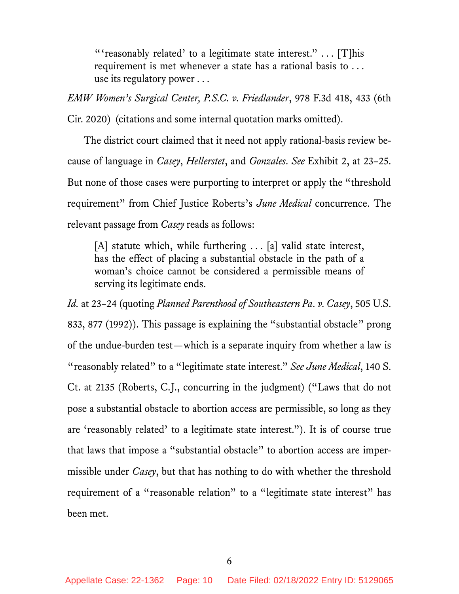"'reasonably related' to a legitimate state interest."  $\ldots$  [T]his requirement is met whenever a state has a rational basis to . . . use its regulatory power . . .

*EMW Women's Surgical Center, P.S.C. v. Friedlander*, 978 F.3d 418, 433 (6th Cir. 2020) (citations and some internal quotation marks omitted).

The district court claimed that it need not apply rational-basis review because of language in *Casey*, *Hellerstet*, and *Gonzales*. *See* Exhibit 2, at 23–25. But none of those cases were purporting to interpret or apply the "threshold requirement" from Chief Justice Roberts's *June Medical* concurrence. The relevant passage from *Casey* reads as follows:

[A] statute which, while furthering . . . [a] valid state interest, has the effect of placing a substantial obstacle in the path of a woman's choice cannot be considered a permissible means of serving its legitimate ends.

*Id.* at 23–24 (quoting *Planned Parenthood of Southeastern Pa. v. Casey*, 505 U.S. 833, 877 (1992)). This passage is explaining the "substantial obstacle" prong of the undue-burden test—which is a separate inquiry from whether a law is "reasonably related" to a "legitimate state interest." *See June Medical*, 140 S. Ct. at 2135 (Roberts, C.J., concurring in the judgment) ("Laws that do not pose a substantial obstacle to abortion access are permissible, so long as they are 'reasonably related' to a legitimate state interest."). It is of course true that laws that impose a "substantial obstacle" to abortion access are impermissible under *Casey*, but that has nothing to do with whether the threshold requirement of a "reasonable relation" to a "legitimate state interest" has been met.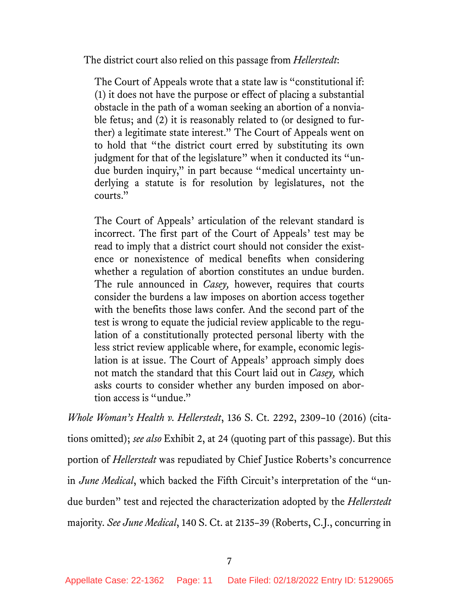The district court also relied on this passage from *Hellerstedt*:

The Court of Appeals wrote that a state law is "constitutional if: (1) it does not have the purpose or effect of placing a substantial obstacle in the path of a woman seeking an abortion of a nonviable fetus; and (2) it is reasonably related to (or designed to further) a legitimate state interest." The Court of Appeals went on to hold that "the district court erred by substituting its own judgment for that of the legislature" when it conducted its "undue burden inquiry," in part because "medical uncertainty underlying a statute is for resolution by legislatures, not the courts."

The Court of Appeals' articulation of the relevant standard is incorrect. The first part of the Court of Appeals' test may be read to imply that a district court should not consider the existence or nonexistence of medical benefits when considering whether a regulation of abortion constitutes an undue burden. The rule announced in *Casey,* however, requires that courts consider the burdens a law imposes on abortion access together with the benefits those laws confer. And the second part of the test is wrong to equate the judicial review applicable to the regulation of a constitutionally protected personal liberty with the less strict review applicable where, for example, economic legislation is at issue. The Court of Appeals' approach simply does not match the standard that this Court laid out in *Casey,* which asks courts to consider whether any burden imposed on abortion access is "undue."

*Whole Woman's Health v. Hellerstedt*, 136 S. Ct. 2292, 2309–10 (2016) (citations omitted); *see also* Exhibit 2, at 24 (quoting part of this passage). But this portion of *Hellerstedt* was repudiated by Chief Justice Roberts's concurrence in *June Medical*, which backed the Fifth Circuit's interpretation of the "undue burden" test and rejected the characterization adopted by the *Hellerstedt* majority. *See June Medical*, 140 S. Ct. at 2135–39 (Roberts, C.J., concurring in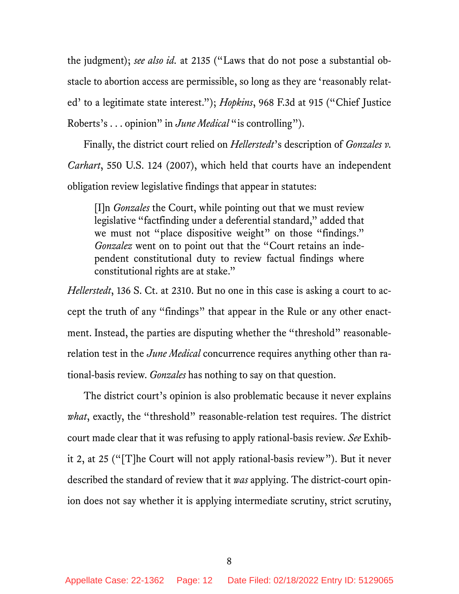the judgment); *see also id.* at 2135 ("Laws that do not pose a substantial obstacle to abortion access are permissible, so long as they are 'reasonably related' to a legitimate state interest."); *Hopkins*, 968 F.3d at 915 ("Chief Justice Roberts's . . . opinion" in *June Medical* "is controlling").

Finally, the district court relied on *Hellerstedt*'s description of *Gonzales v. Carhart*, 550 U.S. 124 (2007), which held that courts have an independent obligation review legislative findings that appear in statutes:

[I]n *Gonzales* the Court, while pointing out that we must review legislative "factfinding under a deferential standard," added that we must not "place dispositive weight" on those "findings." *Gonzalez* went on to point out that the "Court retains an independent constitutional duty to review factual findings where constitutional rights are at stake."

*Hellerstedt*, 136 S. Ct. at 2310. But no one in this case is asking a court to accept the truth of any "findings" that appear in the Rule or any other enactment. Instead, the parties are disputing whether the "threshold" reasonablerelation test in the *June Medical* concurrence requires anything other than rational-basis review. *Gonzales* has nothing to say on that question.

The district court's opinion is also problematic because it never explains *what*, exactly, the "threshold" reasonable-relation test requires. The district court made clear that it was refusing to apply rational-basis review. *See* Exhibit 2, at 25 ("[T]he Court will not apply rational-basis review"). But it never described the standard of review that it *was* applying. The district-court opinion does not say whether it is applying intermediate scrutiny, strict scrutiny,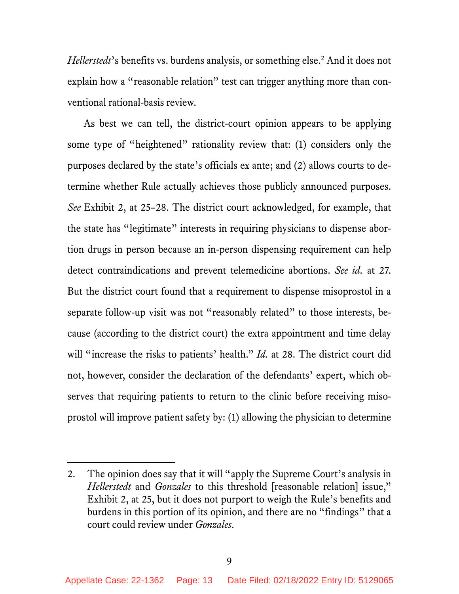*Hellerstedt*'s benefits vs. burdens analysis, or something else.<sup>2</sup> And it does not explain how a "reasonable relation" test can trigger anything more than conventional rational-basis review.

As best we can tell, the district-court opinion appears to be applying some type of "heightened" rationality review that: (1) considers only the purposes declared by the state's officials ex ante; and (2) allows courts to determine whether Rule actually achieves those publicly announced purposes. *See* Exhibit 2, at 25–28. The district court acknowledged, for example, that the state has "legitimate" interests in requiring physicians to dispense abortion drugs in person because an in-person dispensing requirement can help detect contraindications and prevent telemedicine abortions. *See id.* at 27. But the district court found that a requirement to dispense misoprostol in a separate follow-up visit was not "reasonably related" to those interests, because (according to the district court) the extra appointment and time delay will "increase the risks to patients' health." *Id.* at 28. The district court did not, however, consider the declaration of the defendants' expert, which observes that requiring patients to return to the clinic before receiving misoprostol will improve patient safety by: (1) allowing the physician to determine

<sup>2.</sup> The opinion does say that it will "apply the Supreme Court's analysis in *Hellerstedt* and *Gonzales* to this threshold [reasonable relation] issue," Exhibit 2, at 25, but it does not purport to weigh the Rule's benefits and burdens in this portion of its opinion, and there are no "findings" that a court could review under *Gonzales*.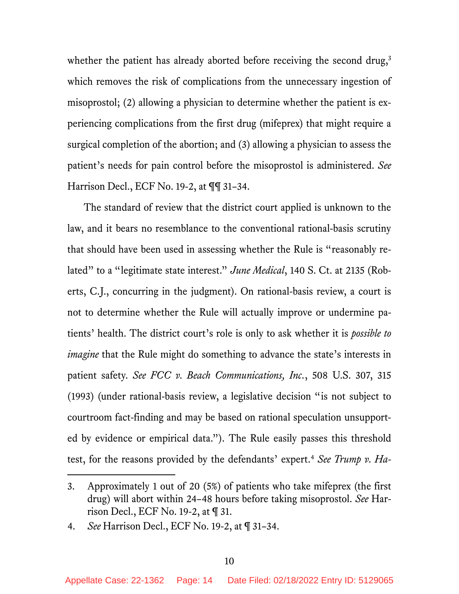whether the patient has already aborted before receiving the second drug,<sup>3</sup> which removes the risk of complications from the unnecessary ingestion of misoprostol; (2) allowing a physician to determine whether the patient is experiencing complications from the first drug (mifeprex) that might require a surgical completion of the abortion; and (3) allowing a physician to assess the patient's needs for pain control before the misoprostol is administered. *See* Harrison Decl., ECF No. 19-2, at ¶¶ 31–34.

The standard of review that the district court applied is unknown to the law, and it bears no resemblance to the conventional rational-basis scrutiny that should have been used in assessing whether the Rule is "reasonably related" to a "legitimate state interest." *June Medical*, 140 S. Ct. at 2135 (Roberts, C.J., concurring in the judgment). On rational-basis review, a court is not to determine whether the Rule will actually improve or undermine patients' health. The district court's role is only to ask whether it is *possible to imagine* that the Rule might do something to advance the state's interests in patient safety. *See FCC v. Beach Communications, Inc.*, 508 U.S. 307, 315 (1993) (under rational-basis review, a legislative decision "is not subject to courtroom fact-finding and may be based on rational speculation unsupported by evidence or empirical data."). The Rule easily passes this threshold test, for the reasons provided by the defendants' expert. <sup>4</sup> *See Trump v. Ha-*

<sup>3.</sup> Approximately 1 out of 20 (5%) of patients who take mifeprex (the first drug) will abort within 24–48 hours before taking misoprostol. *See* Harrison Decl., ECF No. 19-2, at ¶ 31.

<sup>4.</sup> *See* Harrison Decl., ECF No. 19-2, at ¶ 31–34.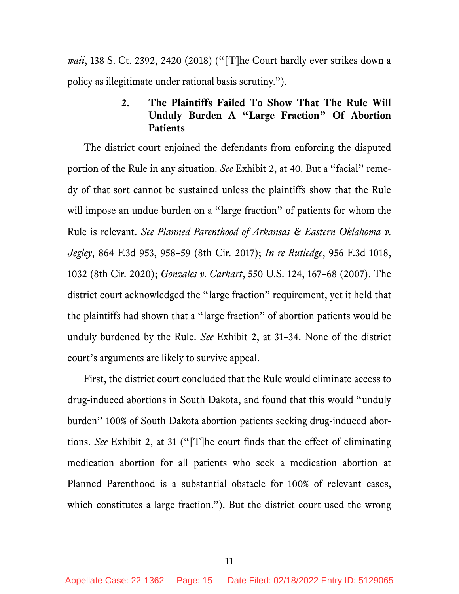*waii*, 138 S. Ct. 2392, 2420 (2018) ("[T]he Court hardly ever strikes down a policy as illegitimate under rational basis scrutiny.").

# **2. The Plaintiffs Failed To Show That The Rule Will Unduly Burden A "Large Fraction" Of Abortion Patients**

The district court enjoined the defendants from enforcing the disputed portion of the Rule in any situation. *See* Exhibit 2, at 40. But a "facial" remedy of that sort cannot be sustained unless the plaintiffs show that the Rule will impose an undue burden on a "large fraction" of patients for whom the Rule is relevant. *See Planned Parenthood of Arkansas & Eastern Oklahoma v. Jegley*, 864 F.3d 953, 958–59 (8th Cir. 2017); *In re Rutledge*, 956 F.3d 1018, 1032 (8th Cir. 2020); *Gonzales v. Carhart*, 550 U.S. 124, 167–68 (2007). The district court acknowledged the "large fraction" requirement, yet it held that the plaintiffs had shown that a "large fraction" of abortion patients would be unduly burdened by the Rule. *See* Exhibit 2, at 31–34. None of the district court's arguments are likely to survive appeal.

First, the district court concluded that the Rule would eliminate access to drug-induced abortions in South Dakota, and found that this would "unduly burden" 100% of South Dakota abortion patients seeking drug-induced abortions. *See* Exhibit 2, at 31 ("[T]he court finds that the effect of eliminating medication abortion for all patients who seek a medication abortion at Planned Parenthood is a substantial obstacle for 100% of relevant cases, which constitutes a large fraction."). But the district court used the wrong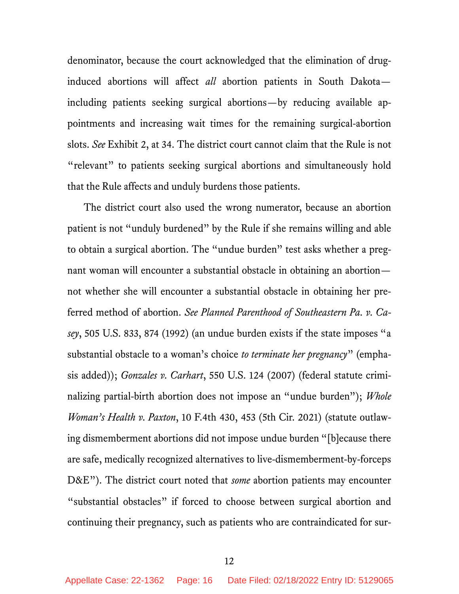denominator, because the court acknowledged that the elimination of druginduced abortions will affect *all* abortion patients in South Dakota including patients seeking surgical abortions—by reducing available appointments and increasing wait times for the remaining surgical-abortion slots. *See* Exhibit 2, at 34. The district court cannot claim that the Rule is not "relevant" to patients seeking surgical abortions and simultaneously hold that the Rule affects and unduly burdens those patients.

The district court also used the wrong numerator, because an abortion patient is not "unduly burdened" by the Rule if she remains willing and able to obtain a surgical abortion. The "undue burden" test asks whether a pregnant woman will encounter a substantial obstacle in obtaining an abortion not whether she will encounter a substantial obstacle in obtaining her preferred method of abortion. *See Planned Parenthood of Southeastern Pa. v. Casey*, 505 U.S. 833, 874 (1992) (an undue burden exists if the state imposes "a substantial obstacle to a woman's choice *to terminate her pregnancy*" (emphasis added)); *Gonzales v. Carhart*, 550 U.S. 124 (2007) (federal statute criminalizing partial-birth abortion does not impose an "undue burden"); *Whole Woman's Health v. Paxton*, 10 F.4th 430, 453 (5th Cir. 2021) (statute outlawing dismemberment abortions did not impose undue burden "[b]ecause there are safe, medically recognized alternatives to live-dismemberment-by-forceps D&E"). The district court noted that *some* abortion patients may encounter "substantial obstacles" if forced to choose between surgical abortion and continuing their pregnancy, such as patients who are contraindicated for sur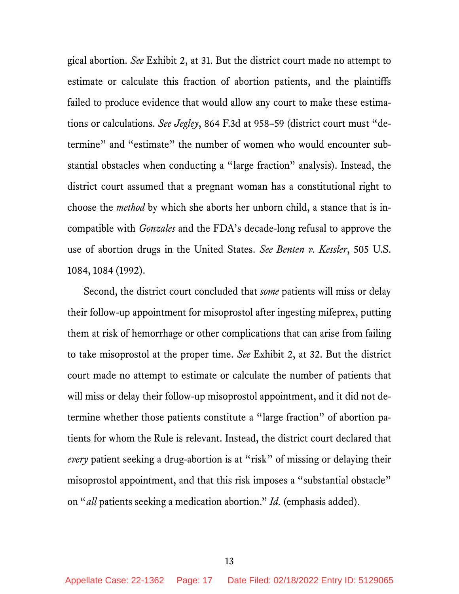gical abortion. *See* Exhibit 2, at 31. But the district court made no attempt to estimate or calculate this fraction of abortion patients, and the plaintiffs failed to produce evidence that would allow any court to make these estimations or calculations. *See Jegley*, 864 F.3d at 958–59 (district court must "determine" and "estimate" the number of women who would encounter substantial obstacles when conducting a "large fraction" analysis). Instead, the district court assumed that a pregnant woman has a constitutional right to choose the *method* by which she aborts her unborn child, a stance that is incompatible with *Gonzales* and the FDA's decade-long refusal to approve the use of abortion drugs in the United States. *See Benten v. Kessler*, 505 U.S. 1084, 1084 (1992).

Second, the district court concluded that *some* patients will miss or delay their follow-up appointment for misoprostol after ingesting mifeprex, putting them at risk of hemorrhage or other complications that can arise from failing to take misoprostol at the proper time. *See* Exhibit 2, at 32. But the district court made no attempt to estimate or calculate the number of patients that will miss or delay their follow-up misoprostol appointment, and it did not determine whether those patients constitute a "large fraction" of abortion patients for whom the Rule is relevant. Instead, the district court declared that *every* patient seeking a drug-abortion is at "risk" of missing or delaying their misoprostol appointment, and that this risk imposes a "substantial obstacle" on "*all* patients seeking a medication abortion." *Id.* (emphasis added).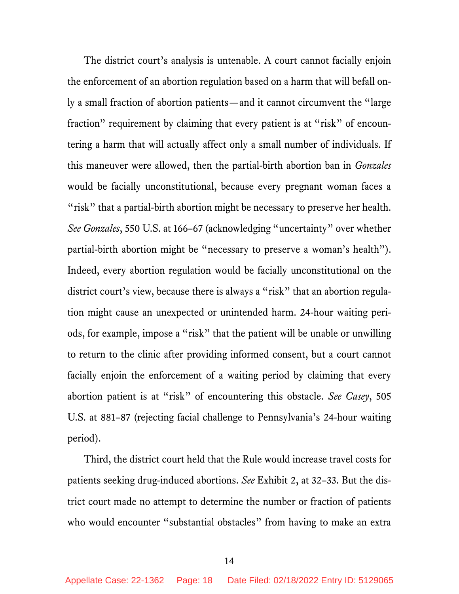The district court's analysis is untenable. A court cannot facially enjoin the enforcement of an abortion regulation based on a harm that will befall only a small fraction of abortion patients—and it cannot circumvent the "large fraction" requirement by claiming that every patient is at "risk" of encountering a harm that will actually affect only a small number of individuals. If this maneuver were allowed, then the partial-birth abortion ban in *Gonzales* would be facially unconstitutional, because every pregnant woman faces a "risk" that a partial-birth abortion might be necessary to preserve her health. *See Gonzales*, 550 U.S. at 166–67 (acknowledging "uncertainty" over whether partial-birth abortion might be "necessary to preserve a woman's health"). Indeed, every abortion regulation would be facially unconstitutional on the district court's view, because there is always a "risk" that an abortion regulation might cause an unexpected or unintended harm. 24-hour waiting periods, for example, impose a "risk" that the patient will be unable or unwilling to return to the clinic after providing informed consent, but a court cannot facially enjoin the enforcement of a waiting period by claiming that every abortion patient is at "risk" of encountering this obstacle. *See Casey*, 505 U.S. at 881–87 (rejecting facial challenge to Pennsylvania's 24-hour waiting period).

Third, the district court held that the Rule would increase travel costs for patients seeking drug-induced abortions. *See* Exhibit 2, at 32–33. But the district court made no attempt to determine the number or fraction of patients who would encounter "substantial obstacles" from having to make an extra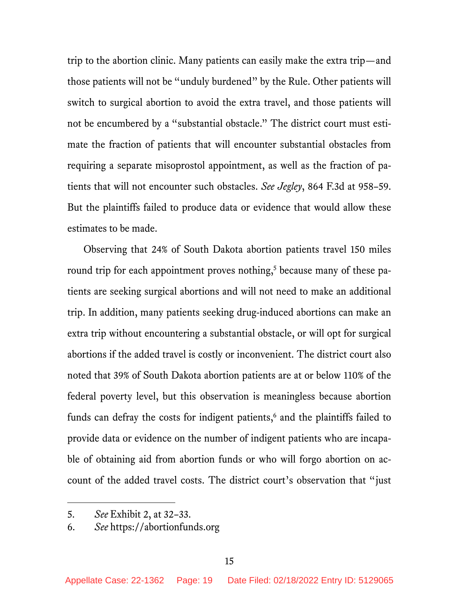trip to the abortion clinic. Many patients can easily make the extra trip—and those patients will not be "unduly burdened" by the Rule. Other patients will switch to surgical abortion to avoid the extra travel, and those patients will not be encumbered by a "substantial obstacle." The district court must estimate the fraction of patients that will encounter substantial obstacles from requiring a separate misoprostol appointment, as well as the fraction of patients that will not encounter such obstacles. *See Jegley*, 864 F.3d at 958–59. But the plaintiffs failed to produce data or evidence that would allow these estimates to be made.

Observing that 24% of South Dakota abortion patients travel 150 miles round trip for each appointment proves nothing,<sup>5</sup> because many of these patients are seeking surgical abortions and will not need to make an additional trip. In addition, many patients seeking drug-induced abortions can make an extra trip without encountering a substantial obstacle, or will opt for surgical abortions if the added travel is costly or inconvenient. The district court also noted that 39% of South Dakota abortion patients are at or below 110% of the federal poverty level, but this observation is meaningless because abortion funds can defray the costs for indigent patients, $6$  and the plaintiffs failed to provide data or evidence on the number of indigent patients who are incapable of obtaining aid from abortion funds or who will forgo abortion on account of the added travel costs. The district court's observation that "just

<sup>5.</sup> *See* Exhibit 2, at 32–33.

<sup>6.</sup> *See* https://abortionfunds.org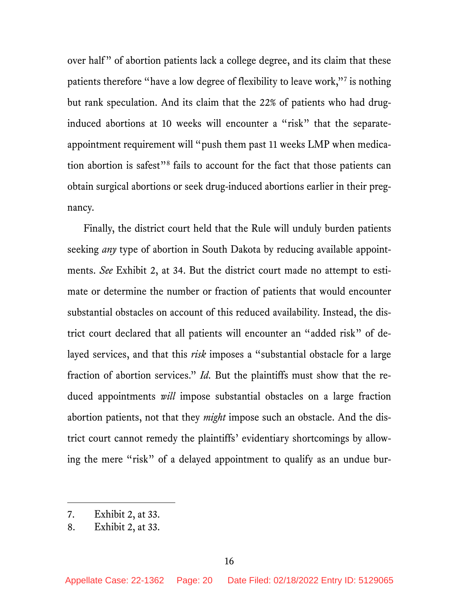over half" of abortion patients lack a college degree, and its claim that these patients therefore "have a low degree of flexibility to leave work,"7 is nothing but rank speculation. And its claim that the 22% of patients who had druginduced abortions at 10 weeks will encounter a "risk" that the separateappointment requirement will "push them past 11 weeks LMP when medication abortion is safest"8 fails to account for the fact that those patients can obtain surgical abortions or seek drug-induced abortions earlier in their pregnancy.

Finally, the district court held that the Rule will unduly burden patients seeking *any* type of abortion in South Dakota by reducing available appointments. *See* Exhibit 2, at 34. But the district court made no attempt to estimate or determine the number or fraction of patients that would encounter substantial obstacles on account of this reduced availability. Instead, the district court declared that all patients will encounter an "added risk" of delayed services, and that this *risk* imposes a "substantial obstacle for a large fraction of abortion services." *Id.* But the plaintiffs must show that the reduced appointments *will* impose substantial obstacles on a large fraction abortion patients, not that they *might* impose such an obstacle. And the district court cannot remedy the plaintiffs' evidentiary shortcomings by allowing the mere "risk" of a delayed appointment to qualify as an undue bur-

<sup>7.</sup> Exhibit 2, at 33.

<sup>8.</sup> Exhibit 2, at 33.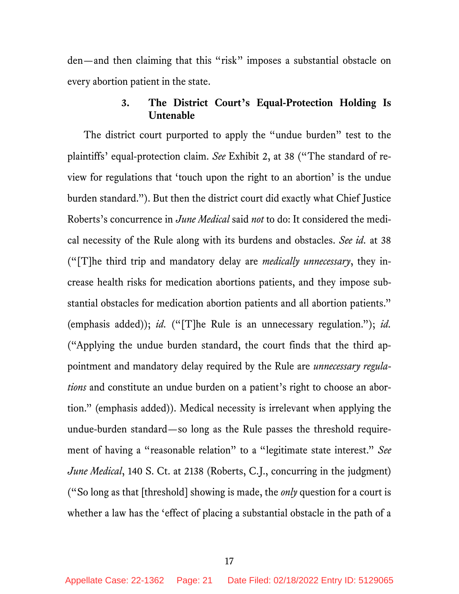den—and then claiming that this "risk" imposes a substantial obstacle on every abortion patient in the state.

# **3. The District Court's Equal-Protection Holding Is Untenable**

The district court purported to apply the "undue burden" test to the plaintiffs' equal-protection claim. *See* Exhibit 2, at 38 ("The standard of review for regulations that 'touch upon the right to an abortion' is the undue burden standard."). But then the district court did exactly what Chief Justice Roberts's concurrence in *June Medical* said *not* to do: It considered the medical necessity of the Rule along with its burdens and obstacles. *See id.* at 38 ("[T]he third trip and mandatory delay are *medically unnecessary*, they increase health risks for medication abortions patients, and they impose substantial obstacles for medication abortion patients and all abortion patients." (emphasis added)); *id.* ("[T]he Rule is an unnecessary regulation."); *id.* ("Applying the undue burden standard, the court finds that the third appointment and mandatory delay required by the Rule are *unnecessary regulations* and constitute an undue burden on a patient's right to choose an abortion." (emphasis added)). Medical necessity is irrelevant when applying the undue-burden standard—so long as the Rule passes the threshold requirement of having a "reasonable relation" to a "legitimate state interest." *See June Medical*, 140 S. Ct. at 2138 (Roberts, C.J., concurring in the judgment) ("So long as that [threshold] showing is made, the *only* question for a court is whether a law has the 'effect of placing a substantial obstacle in the path of a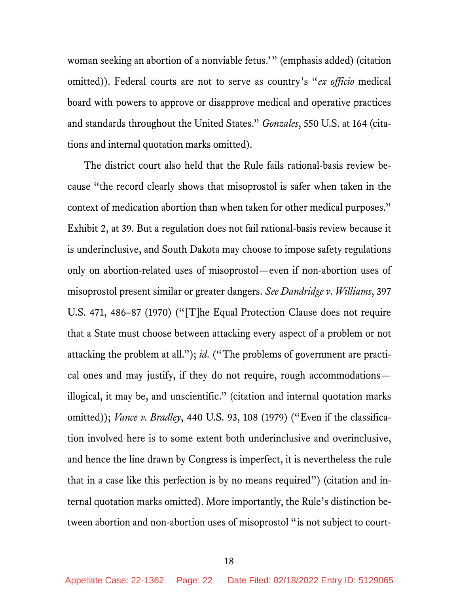woman seeking an abortion of a nonviable fetus.'" (emphasis added) (citation omitted)). Federal courts are not to serve as country's "*ex officio* medical board with powers to approve or disapprove medical and operative practices and standards throughout the United States." *Gonzales*, 550 U.S. at 164 (citations and internal quotation marks omitted).

The district court also held that the Rule fails rational-basis review because "the record clearly shows that misoprostol is safer when taken in the context of medication abortion than when taken for other medical purposes." Exhibit 2, at 39. But a regulation does not fail rational-basis review because it is underinclusive, and South Dakota may choose to impose safety regulations only on abortion-related uses of misoprostol—even if non-abortion uses of misoprostol present similar or greater dangers. *See Dandridge v. Williams*, 397 U.S. 471, 486–87 (1970) ("[T]he Equal Protection Clause does not require that a State must choose between attacking every aspect of a problem or not attacking the problem at all."); *id.* ("The problems of government are practical ones and may justify, if they do not require, rough accommodations illogical, it may be, and unscientific." (citation and internal quotation marks omitted)); *Vance v. Bradley*, 440 U.S. 93, 108 (1979) ("Even if the classification involved here is to some extent both underinclusive and overinclusive, and hence the line drawn by Congress is imperfect, it is nevertheless the rule that in a case like this perfection is by no means required") (citation and internal quotation marks omitted). More importantly, the Rule's distinction between abortion and non-abortion uses of misoprostol "is not subject to court-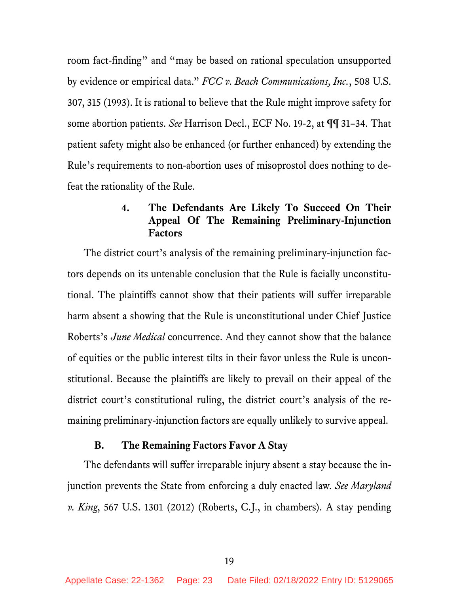room fact-finding" and "may be based on rational speculation unsupported by evidence or empirical data." *FCC v. Beach Communications, Inc.*, 508 U.S. 307, 315 (1993). It is rational to believe that the Rule might improve safety for some abortion patients. *See* Harrison Decl., ECF No. 19-2, at ¶¶ 31–34. That patient safety might also be enhanced (or further enhanced) by extending the Rule's requirements to non-abortion uses of misoprostol does nothing to defeat the rationality of the Rule.

# **4. The Defendants Are Likely To Succeed On Their Appeal Of The Remaining Preliminary-Injunction Factors**

The district court's analysis of the remaining preliminary-injunction factors depends on its untenable conclusion that the Rule is facially unconstitutional. The plaintiffs cannot show that their patients will suffer irreparable harm absent a showing that the Rule is unconstitutional under Chief Justice Roberts's *June Medical* concurrence. And they cannot show that the balance of equities or the public interest tilts in their favor unless the Rule is unconstitutional. Because the plaintiffs are likely to prevail on their appeal of the district court's constitutional ruling, the district court's analysis of the remaining preliminary-injunction factors are equally unlikely to survive appeal.

### **B. The Remaining Factors Favor A Stay**

The defendants will suffer irreparable injury absent a stay because the injunction prevents the State from enforcing a duly enacted law. *See Maryland v. King*, 567 U.S. 1301 (2012) (Roberts, C.J., in chambers). A stay pending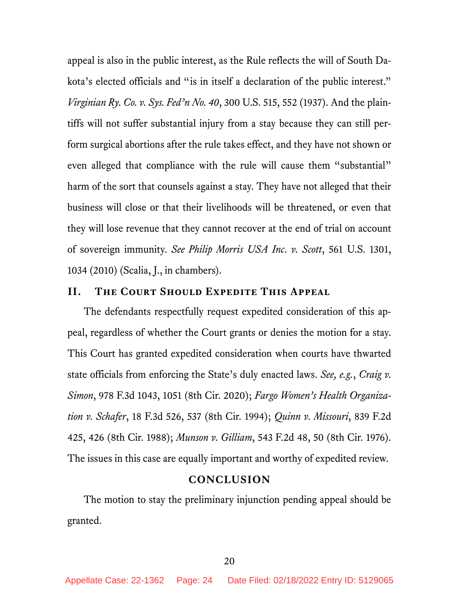appeal is also in the public interest, as the Rule reflects the will of South Dakota's elected officials and "is in itself a declaration of the public interest." *Virginian Ry. Co. v. Sys. Fed'n No. 40*, 300 U.S. 515, 552 (1937). And the plaintiffs will not suffer substantial injury from a stay because they can still perform surgical abortions after the rule takes effect, and they have not shown or even alleged that compliance with the rule will cause them "substantial" harm of the sort that counsels against a stay. They have not alleged that their business will close or that their livelihoods will be threatened, or even that they will lose revenue that they cannot recover at the end of trial on account of sovereign immunity. *See Philip Morris USA Inc. v. Scott*, 561 U.S. 1301, 1034 (2010) (Scalia, J., in chambers).

### **II. The Court Should Expedite This Appeal**

The defendants respectfully request expedited consideration of this appeal, regardless of whether the Court grants or denies the motion for a stay. This Court has granted expedited consideration when courts have thwarted state officials from enforcing the State's duly enacted laws. *See, e.g.*, *Craig v. Simon*, 978 F.3d 1043, 1051 (8th Cir. 2020); *Fargo Women's Health Organization v. Schafer*, 18 F.3d 526, 537 (8th Cir. 1994); *Quinn v. Missouri*, 839 F.2d 425, 426 (8th Cir. 1988); *Munson v. Gilliam*, 543 F.2d 48, 50 (8th Cir. 1976). The issues in this case are equally important and worthy of expedited review.

### **CONCLUSION**

The motion to stay the preliminary injunction pending appeal should be granted.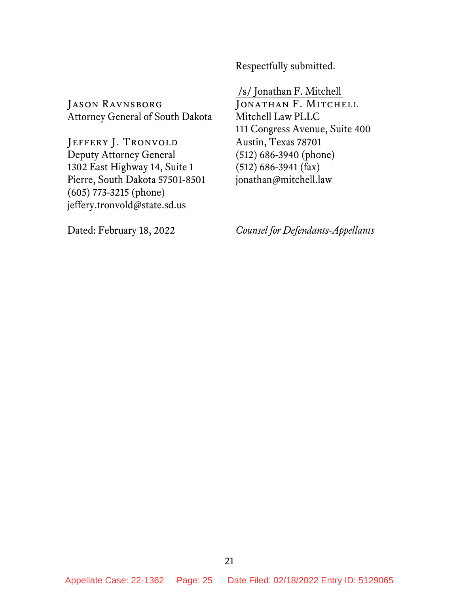Respectfully submitted.

/s/ Jonathan F. Mitchell JONATHAN F. MITCHELL

Mitchell Law PLLC

Austin, Texas 78701 (512) 686-3940 (phone) (512) 686-3941 (fax) jonathan@mitchell.law

JASON RAVNSBORG Attorney General of South Dakota

JEFFERY J. TRONVOLD Deputy Attorney General 1302 East Highway 14, Suite 1 Pierre, South Dakota 57501-8501 (605) 773-3215 (phone) jeffery.tronvold@state.sd.us

*Counsel for Defendants-Appellants*

111 Congress Avenue, Suite 400

Dated: February 18, 2022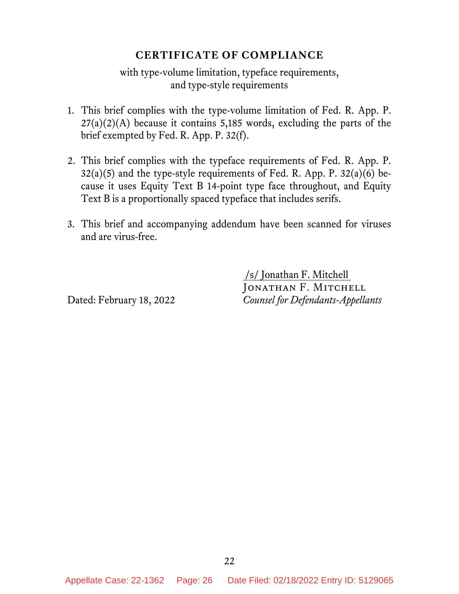## **CERTIFICATE OF COMPLIANCE**

with type-volume limitation, typeface requirements, and type-style requirements

- 1. This brief complies with the type-volume limitation of Fed. R. App. P.  $27(a)(2)(A)$  because it contains 5,185 words, excluding the parts of the brief exempted by Fed. R. App. P. 32(f).
- 2. This brief complies with the typeface requirements of Fed. R. App. P.  $32(a)(5)$  and the type-style requirements of Fed. R. App. P.  $32(a)(6)$  because it uses Equity Text B 14-point type face throughout, and Equity Text B is a proportionally spaced typeface that includes serifs.
- 3. This brief and accompanying addendum have been scanned for viruses and are virus-free.

/s/ Jonathan F. Mitchell JONATHAN F. MITCHELL Dated: February 18, 2022 *Counsel for Defendants-Appellants*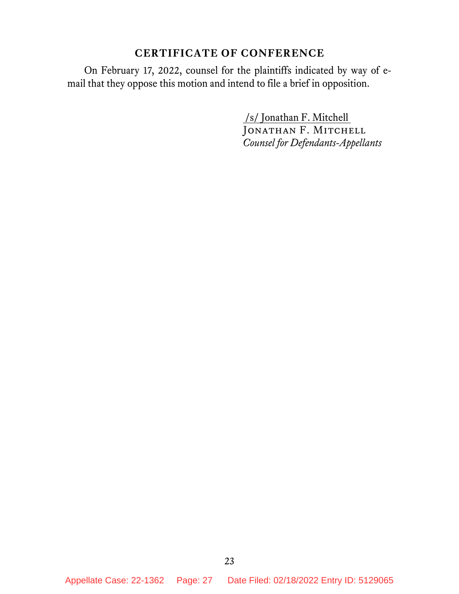# **CERTIFICATE OF CONFERENCE**

On February 17, 2022, counsel for the plaintiffs indicated by way of email that they oppose this motion and intend to file a brief in opposition.

> /s/ Jonathan F. Mitchell JONATHAN F. MITCHELL *Counsel for Defendants-Appellants*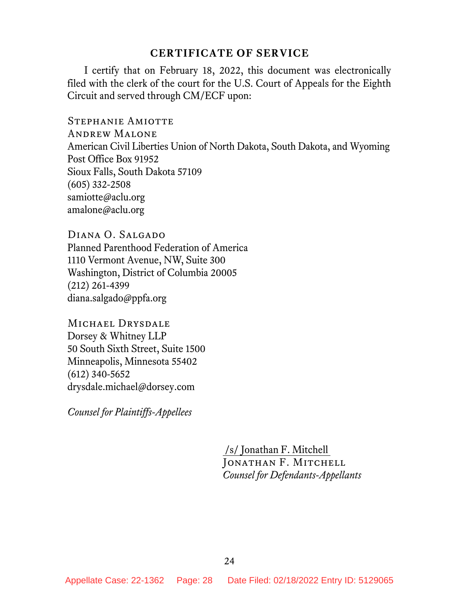### **CERTIFICATE OF SERVICE**

I certify that on February 18, 2022, this document was electronically filed with the clerk of the court for the U.S. Court of Appeals for the Eighth Circuit and served through CM/ECF upon:

Stephanie Amiotte Andrew Malone American Civil Liberties Union of North Dakota, South Dakota, and Wyoming Post Office Box 91952 Sioux Falls, South Dakota 57109 (605) 332-2508 samiotte@aclu.org amalone@aclu.org

DIANA O. SALGADO Planned Parenthood Federation of America 1110 Vermont Avenue, NW, Suite 300 Washington, District of Columbia 20005 (212) 261-4399 diana.salgado@ppfa.org

MICHAEL DRYSDALE Dorsey & Whitney LLP 50 South Sixth Street, Suite 1500 Minneapolis, Minnesota 55402 (612) 340-5652 drysdale.michael@dorsey.com

*Counsel for Plaintiffs-Appellees*

/s/ Jonathan F. Mitchell Jonathan F. Mitchell *Counsel for Defendants-Appellants*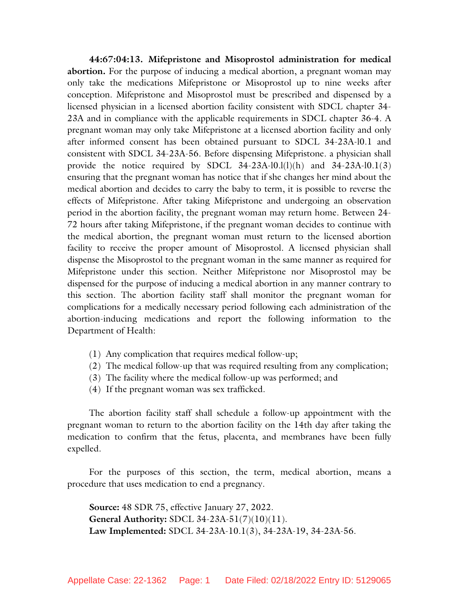**44:67:04:13. Mifepristone and Misoprostol administration for medical abortion.** For the purpose of inducing a medical abortion, a pregnant woman may only take the medications Mifepristone or Misoprostol up to nine weeks after conception. Mifepristone and Misoprostol must be prescribed and dispensed by a licensed physician in a licensed abortion facility consistent with SDCL chapter 34- 23A and in compliance with the applicable requirements in SDCL chapter 36-4. A pregnant woman may only take Mifepristone at a licensed abortion facility and only after informed consent has been obtained pursuant to SDCL 34-23A-l0.1 and consistent with SDCL 34-23A-56. Before dispensing Mifepristone. a physician shall provide the notice required by SDCL  $34-23A-10.1(1)(h)$  and  $34-23A-10.1(3)$ ensuring that the pregnant woman has notice that if she changes her mind about the medical abortion and decides to carry the baby to term, it is possible to reverse the effects of Mifepristone. After taking Mifepristone and undergoing an observation period in the abortion facility, the pregnant woman may return home. Between 24- 72 hours after taking Mifepristone, if the pregnant woman decides to continue with the medical abortion, the pregnant woman must return to the licensed abortion facility to receive the proper amount of Misoprostol. A licensed physician shall dispense the Misoprostol to the pregnant woman in the same manner as required for Mifepristone under this section. Neither Mifepristone nor Misoprostol may be dispensed for the purpose of inducing a medical abortion in any manner contrary to this section. The abortion facility staff shall monitor the pregnant woman for complications for a medically necessary period following each administration of the abortion-inducing medications and report the following information to the Department of Health:

- (1) Any complication that requires medical follow-up;
- (2) The medical follow-up that was required resulting from any complication;
- (3) The facility where the medical follow-up was performed; and
- (4) If the pregnant woman was sex trafficked.

The abortion facility staff shall schedule a follow-up appointment with the pregnant woman to return to the abortion facility on the 14th day after taking the medication to confirm that the fetus, placenta, and membranes have been fully expelled.

For the purposes of this section, the term, medical abortion, means a procedure that uses medication to end a pregnancy.

**Source:** 48 SDR 75, effective January 27, 2022. **General Authority:** SDCL 34-23A-51(7)(10)(11). **Law Implemented:** SDCL 34-23A-10.1(3), 34-23A-19, 34-23A-56.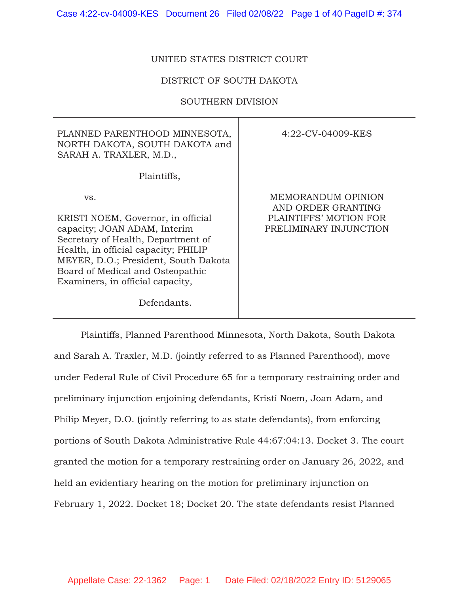#### UNITED STATES DISTRICT COURT

#### DISTRICT OF SOUTH DAKOTA

#### SOUTHERN DIVISION

| PLANNED PARENTHOOD MINNESOTA,<br>NORTH DAKOTA, SOUTH DAKOTA and<br>SARAH A. TRAXLER, M.D.,                                                                                                                                                                                             | 4:22-CV-04009-KES                                                                            |
|----------------------------------------------------------------------------------------------------------------------------------------------------------------------------------------------------------------------------------------------------------------------------------------|----------------------------------------------------------------------------------------------|
| Plaintiffs,                                                                                                                                                                                                                                                                            |                                                                                              |
| VS.<br>KRISTI NOEM, Governor, in official<br>capacity; JOAN ADAM, Interim<br>Secretary of Health, Department of<br>Health, in official capacity; PHILIP<br>MEYER, D.O.; President, South Dakota<br>Board of Medical and Osteopathic<br>Examiners, in official capacity,<br>Defendants. | MEMORANDUM OPINION<br>AND ORDER GRANTING<br>PLAINTIFFS' MOTION FOR<br>PRELIMINARY INJUNCTION |

Plaintiffs, Planned Parenthood Minnesota, North Dakota, South Dakota and Sarah A. Traxler, M.D. (jointly referred to as Planned Parenthood), move under Federal Rule of Civil Procedure 65 for a temporary restraining order and preliminary injunction enjoining defendants, Kristi Noem, Joan Adam, and Philip Meyer, D.O. (jointly referring to as state defendants), from enforcing portions of South Dakota Administrative Rule 44:67:04:13. Docket 3. The court granted the motion for a temporary restraining order on January 26, 2022, and held an evidentiary hearing on the motion for preliminary injunction on February 1, 2022. Docket 18; Docket 20. The state defendants resist Planned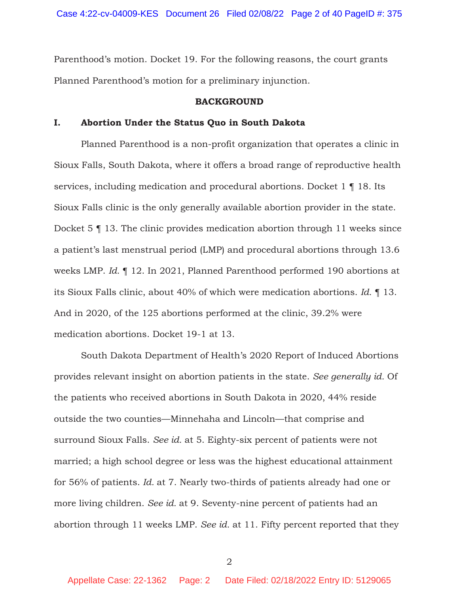Parenthood's motion. Docket 19. For the following reasons, the court grants Planned Parenthood's motion for a preliminary injunction.

#### **BACKGROUND**

#### **I. Abortion Under the Status Quo in South Dakota**

Planned Parenthood is a non-profit organization that operates a clinic in Sioux Falls, South Dakota, where it offers a broad range of reproductive health services, including medication and procedural abortions. Docket 1 ¶ 18. Its Sioux Falls clinic is the only generally available abortion provider in the state. Docket 5 ¶ 13. The clinic provides medication abortion through 11 weeks since a patient's last menstrual period (LMP) and procedural abortions through 13.6 weeks LMP. *Id.* ¶ 12. In 2021, Planned Parenthood performed 190 abortions at its Sioux Falls clinic, about 40% of which were medication abortions. *Id.* ¶ 13. And in 2020, of the 125 abortions performed at the clinic, 39.2% were medication abortions. Docket 19-1 at 13.

South Dakota Department of Health's 2020 Report of Induced Abortions provides relevant insight on abortion patients in the state. *See generally id.* Of the patients who received abortions in South Dakota in 2020, 44% reside outside the two counties—Minnehaha and Lincoln—that comprise and surround Sioux Falls. *See id.* at 5. Eighty-six percent of patients were not married; a high school degree or less was the highest educational attainment for 56% of patients. *Id.* at 7. Nearly two-thirds of patients already had one or more living children. *See id.* at 9. Seventy-nine percent of patients had an abortion through 11 weeks LMP. *See id.* at 11. Fifty percent reported that they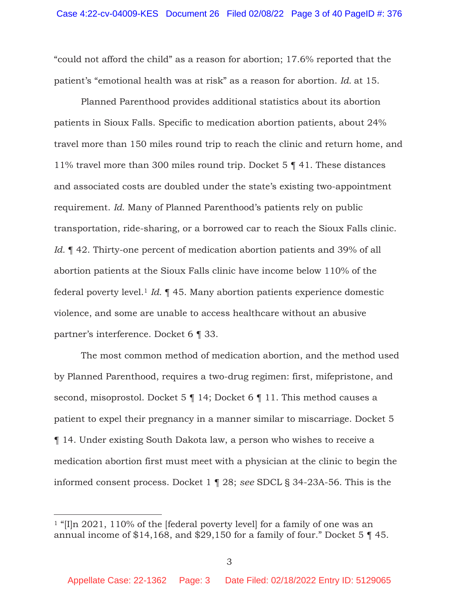"could not afford the child" as a reason for abortion; 17.6% reported that the patient's "emotional health was at risk" as a reason for abortion. *Id.* at 15.

Planned Parenthood provides additional statistics about its abortion patients in Sioux Falls. Specific to medication abortion patients, about 24% travel more than 150 miles round trip to reach the clinic and return home, and 11% travel more than 300 miles round trip. Docket 5 ¶ 41. These distances and associated costs are doubled under the state's existing two-appointment requirement. *Id.* Many of Planned Parenthood's patients rely on public transportation, ride-sharing, or a borrowed car to reach the Sioux Falls clinic. *Id.*  $\parallel$  42. Thirty-one percent of medication abortion patients and 39% of all abortion patients at the Sioux Falls clinic have income below 110% of the federal poverty level.1 *Id.* ¶ 45. Many abortion patients experience domestic violence, and some are unable to access healthcare without an abusive partner's interference. Docket 6 ¶ 33.

The most common method of medication abortion, and the method used by Planned Parenthood, requires a two-drug regimen: first, mifepristone, and second, misoprostol. Docket 5 | 14; Docket 6 | 11. This method causes a patient to expel their pregnancy in a manner similar to miscarriage. Docket 5 ¶ 14. Under existing South Dakota law, a person who wishes to receive a medication abortion first must meet with a physician at the clinic to begin the informed consent process. Docket 1 ¶ 28; *see* SDCL § 34-23A-56. This is the

<sup>&</sup>lt;sup>1</sup> "[I]n 2021, 110% of the [federal poverty level] for a family of one was an annual income of \$14,168, and \$29,150 for a family of four." Docket 5 ¶ 45.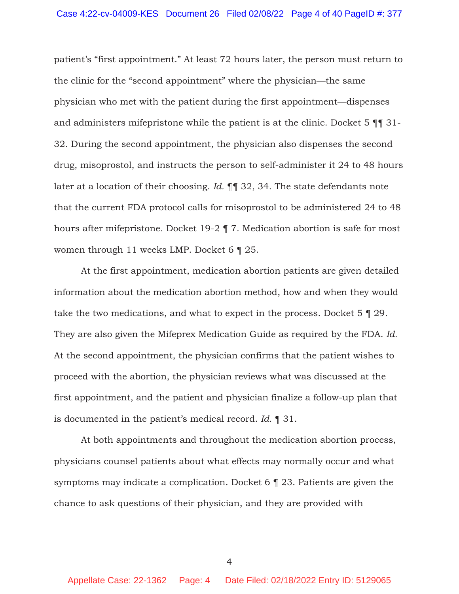patient's "first appointment." At least 72 hours later, the person must return to the clinic for the "second appointment" where the physician—the same physician who met with the patient during the first appointment—dispenses and administers mifepristone while the patient is at the clinic. Docket 5 ¶¶ 31- 32. During the second appointment, the physician also dispenses the second drug, misoprostol, and instructs the person to self-administer it 24 to 48 hours later at a location of their choosing. *Id.* ¶¶ 32, 34. The state defendants note that the current FDA protocol calls for misoprostol to be administered 24 to 48 hours after mifepristone. Docket 19-2 ¶ 7. Medication abortion is safe for most women through 11 weeks LMP. Docket 6 ¶ 25.

At the first appointment, medication abortion patients are given detailed information about the medication abortion method, how and when they would take the two medications, and what to expect in the process. Docket 5 ¶ 29. They are also given the Mifeprex Medication Guide as required by the FDA. *Id.* At the second appointment, the physician confirms that the patient wishes to proceed with the abortion, the physician reviews what was discussed at the first appointment, and the patient and physician finalize a follow-up plan that is documented in the patient's medical record. *Id.* ¶ 31.

At both appointments and throughout the medication abortion process, physicians counsel patients about what effects may normally occur and what symptoms may indicate a complication. Docket 6 ¶ 23. Patients are given the chance to ask questions of their physician, and they are provided with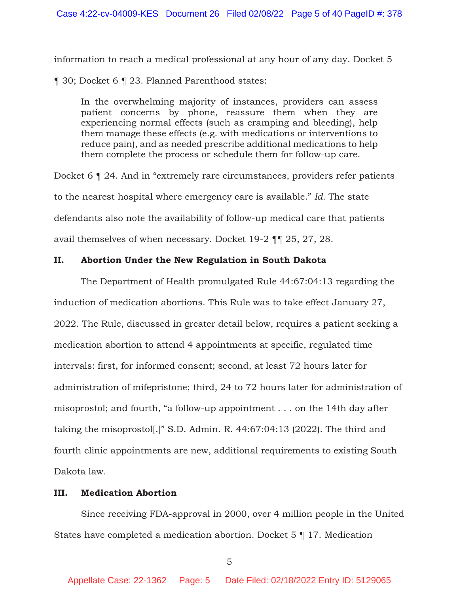information to reach a medical professional at any hour of any day. Docket 5

¶ 30; Docket 6 ¶ 23. Planned Parenthood states:

In the overwhelming majority of instances, providers can assess patient concerns by phone, reassure them when they are experiencing normal effects (such as cramping and bleeding), help them manage these effects (e.g. with medications or interventions to reduce pain), and as needed prescribe additional medications to help them complete the process or schedule them for follow-up care.

Docket 6 ¶ 24. And in "extremely rare circumstances, providers refer patients to the nearest hospital where emergency care is available." *Id.* The state defendants also note the availability of follow-up medical care that patients avail themselves of when necessary. Docket 19-2 ¶¶ 25, 27, 28.

### **II. Abortion Under the New Regulation in South Dakota**

The Department of Health promulgated Rule 44:67:04:13 regarding the induction of medication abortions. This Rule was to take effect January 27, 2022. The Rule, discussed in greater detail below, requires a patient seeking a medication abortion to attend 4 appointments at specific, regulated time intervals: first, for informed consent; second, at least 72 hours later for administration of mifepristone; third, 24 to 72 hours later for administration of misoprostol; and fourth, "a follow-up appointment . . . on the 14th day after taking the misoprostol[.]" S.D. Admin. R. 44:67:04:13 (2022). The third and fourth clinic appointments are new, additional requirements to existing South Dakota law.

### **III. Medication Abortion**

Since receiving FDA-approval in 2000, over 4 million people in the United States have completed a medication abortion. Docket 5 ¶ 17. Medication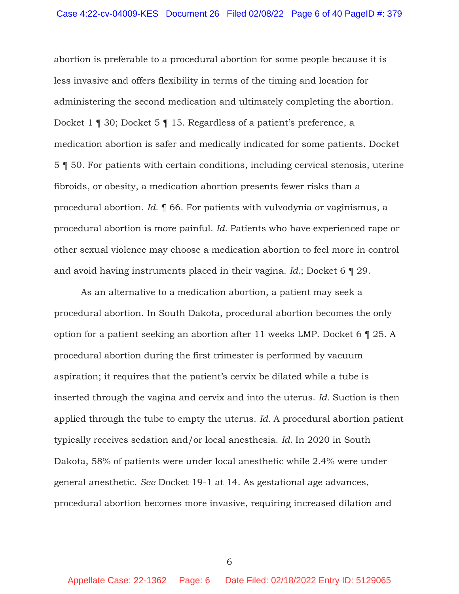abortion is preferable to a procedural abortion for some people because it is less invasive and offers flexibility in terms of the timing and location for administering the second medication and ultimately completing the abortion. Docket 1 ¶ 30; Docket 5 ¶ 15. Regardless of a patient's preference, a medication abortion is safer and medically indicated for some patients. Docket 5 ¶ 50. For patients with certain conditions, including cervical stenosis, uterine fibroids, or obesity, a medication abortion presents fewer risks than a procedural abortion. *Id.* ¶ 66. For patients with vulvodynia or vaginismus, a procedural abortion is more painful. *Id.* Patients who have experienced rape or other sexual violence may choose a medication abortion to feel more in control and avoid having instruments placed in their vagina. *Id.*; Docket 6 ¶ 29.

As an alternative to a medication abortion, a patient may seek a procedural abortion. In South Dakota, procedural abortion becomes the only option for a patient seeking an abortion after 11 weeks LMP. Docket 6 ¶ 25. A procedural abortion during the first trimester is performed by vacuum aspiration; it requires that the patient's cervix be dilated while a tube is inserted through the vagina and cervix and into the uterus. *Id.* Suction is then applied through the tube to empty the uterus. *Id.* A procedural abortion patient typically receives sedation and/or local anesthesia. *Id.* In 2020 in South Dakota, 58% of patients were under local anesthetic while 2.4% were under general anesthetic. *See* Docket 19-1 at 14. As gestational age advances, procedural abortion becomes more invasive, requiring increased dilation and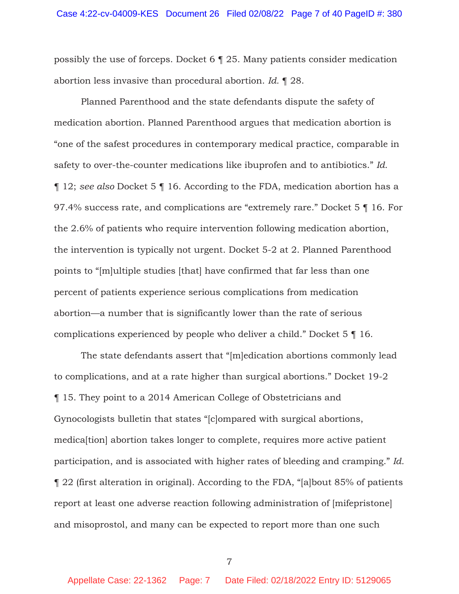possibly the use of forceps. Docket 6 ¶ 25. Many patients consider medication abortion less invasive than procedural abortion. *Id.* ¶ 28.

Planned Parenthood and the state defendants dispute the safety of medication abortion. Planned Parenthood argues that medication abortion is "one of the safest procedures in contemporary medical practice, comparable in safety to over-the-counter medications like ibuprofen and to antibiotics." *Id.* ¶ 12; *see also* Docket 5 ¶ 16. According to the FDA, medication abortion has a 97.4% success rate, and complications are "extremely rare." Docket 5 ¶ 16. For the 2.6% of patients who require intervention following medication abortion, the intervention is typically not urgent. Docket 5-2 at 2. Planned Parenthood points to "[m]ultiple studies [that] have confirmed that far less than one percent of patients experience serious complications from medication abortion—a number that is significantly lower than the rate of serious complications experienced by people who deliver a child." Docket 5 ¶ 16.

The state defendants assert that "[m]edication abortions commonly lead to complications, and at a rate higher than surgical abortions." Docket 19-2 ¶ 15. They point to a 2014 American College of Obstetricians and Gynocologists bulletin that states "[c]ompared with surgical abortions, medica[tion] abortion takes longer to complete, requires more active patient participation, and is associated with higher rates of bleeding and cramping." *Id.*  ¶ 22 (first alteration in original). According to the FDA, "[a]bout 85% of patients report at least one adverse reaction following administration of [mifepristone] and misoprostol, and many can be expected to report more than one such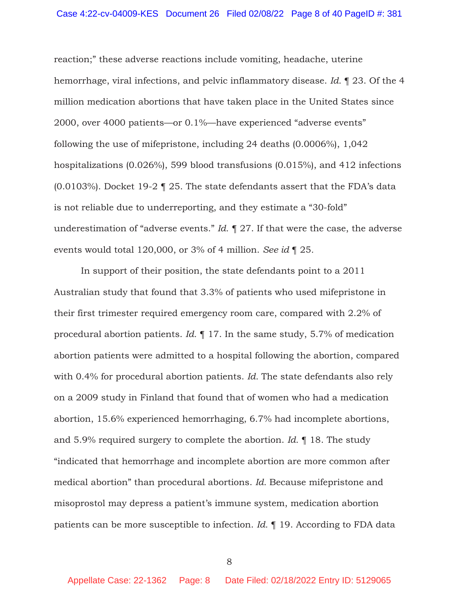reaction;" these adverse reactions include vomiting, headache, uterine hemorrhage, viral infections, and pelvic inflammatory disease. *Id.* ¶ 23. Of the 4 million medication abortions that have taken place in the United States since 2000, over 4000 patients—or 0.1%—have experienced "adverse events" following the use of mifepristone, including 24 deaths (0.0006%), 1,042 hospitalizations (0.026%), 599 blood transfusions (0.015%), and 412 infections (0.0103%). Docket 19-2 ¶ 25. The state defendants assert that the FDA's data is not reliable due to underreporting, and they estimate a "30-fold" underestimation of "adverse events." *Id.* ¶ 27. If that were the case, the adverse events would total 120,000, or 3% of 4 million. *See id* ¶ 25*.*

In support of their position, the state defendants point to a 2011 Australian study that found that 3.3% of patients who used mifepristone in their first trimester required emergency room care, compared with 2.2% of procedural abortion patients. *Id.* ¶ 17. In the same study, 5.7% of medication abortion patients were admitted to a hospital following the abortion, compared with 0.4% for procedural abortion patients. *Id.* The state defendants also rely on a 2009 study in Finland that found that of women who had a medication abortion, 15.6% experienced hemorrhaging, 6.7% had incomplete abortions, and 5.9% required surgery to complete the abortion. *Id.* ¶ 18. The study "indicated that hemorrhage and incomplete abortion are more common after medical abortion" than procedural abortions. *Id.* Because mifepristone and misoprostol may depress a patient's immune system, medication abortion patients can be more susceptible to infection. *Id.* ¶ 19. According to FDA data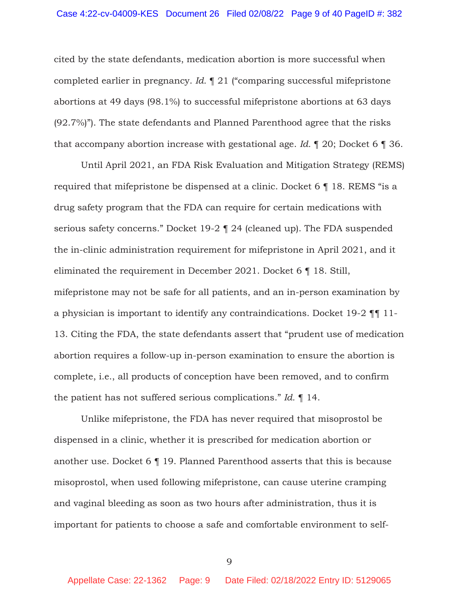cited by the state defendants, medication abortion is more successful when completed earlier in pregnancy. *Id.* ¶ 21 ("comparing successful mifepristone abortions at 49 days (98.1%) to successful mifepristone abortions at 63 days (92.7%)"). The state defendants and Planned Parenthood agree that the risks that accompany abortion increase with gestational age. *Id.* ¶ 20; Docket 6 ¶ 36.

 Until April 2021, an FDA Risk Evaluation and Mitigation Strategy (REMS) required that mifepristone be dispensed at a clinic. Docket 6 ¶ 18. REMS "is a drug safety program that the FDA can require for certain medications with serious safety concerns." Docket 19-2 ¶ 24 (cleaned up). The FDA suspended the in-clinic administration requirement for mifepristone in April 2021, and it eliminated the requirement in December 2021. Docket 6 ¶ 18. Still, mifepristone may not be safe for all patients, and an in-person examination by a physician is important to identify any contraindications. Docket 19-2 ¶¶ 11- 13. Citing the FDA, the state defendants assert that "prudent use of medication abortion requires a follow-up in-person examination to ensure the abortion is complete, i.e., all products of conception have been removed, and to confirm the patient has not suffered serious complications." *Id.* ¶ 14.

Unlike mifepristone, the FDA has never required that misoprostol be dispensed in a clinic, whether it is prescribed for medication abortion or another use. Docket 6 ¶ 19. Planned Parenthood asserts that this is because misoprostol, when used following mifepristone, can cause uterine cramping and vaginal bleeding as soon as two hours after administration, thus it is important for patients to choose a safe and comfortable environment to self-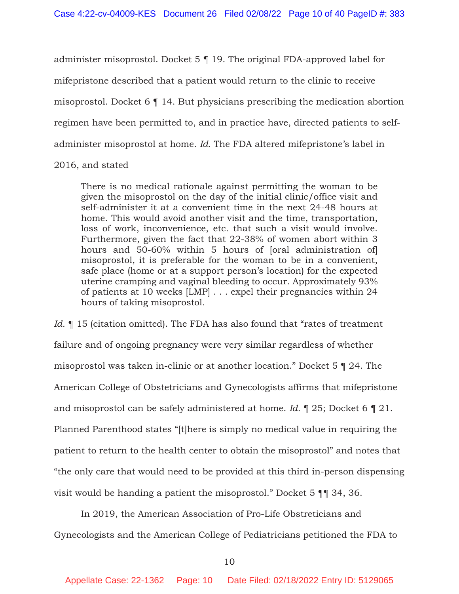administer misoprostol. Docket 5 ¶ 19. The original FDA-approved label for mifepristone described that a patient would return to the clinic to receive misoprostol. Docket 6 ¶ 14. But physicians prescribing the medication abortion regimen have been permitted to, and in practice have, directed patients to selfadminister misoprostol at home. *Id.* The FDA altered mifepristone's label in

#### 2016, and stated

There is no medical rationale against permitting the woman to be given the misoprostol on the day of the initial clinic/office visit and self-administer it at a convenient time in the next 24-48 hours at home. This would avoid another visit and the time, transportation, loss of work, inconvenience, etc. that such a visit would involve. Furthermore, given the fact that 22-38% of women abort within 3 hours and 50-60% within 5 hours of [oral administration of] misoprostol, it is preferable for the woman to be in a convenient, safe place (home or at a support person's location) for the expected uterine cramping and vaginal bleeding to occur. Approximately 93% of patients at 10 weeks [LMP] . . . expel their pregnancies within 24 hours of taking misoprostol.

*Id.* 15 (citation omitted). The FDA has also found that "rates of treatment" failure and of ongoing pregnancy were very similar regardless of whether misoprostol was taken in-clinic or at another location." Docket 5 ¶ 24. The American College of Obstetricians and Gynecologists affirms that mifepristone and misoprostol can be safely administered at home. *Id.* ¶ 25; Docket 6 ¶ 21. Planned Parenthood states "[t]here is simply no medical value in requiring the patient to return to the health center to obtain the misoprostol" and notes that "the only care that would need to be provided at this third in-person dispensing visit would be handing a patient the misoprostol." Docket 5 ¶¶ 34, 36.

 In 2019, the American Association of Pro-Life Obstreticians and Gynecologists and the American College of Pediatricians petitioned the FDA to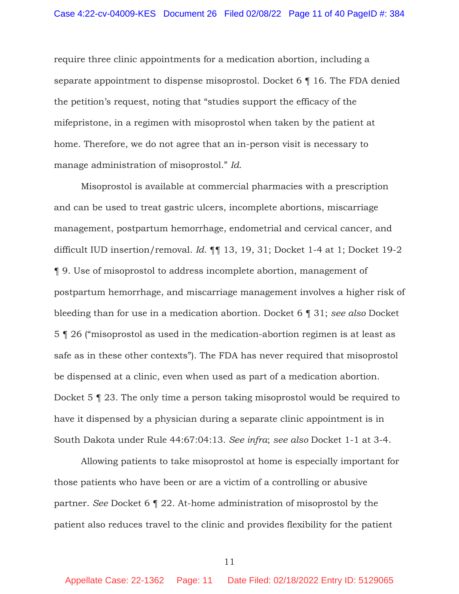require three clinic appointments for a medication abortion, including a separate appointment to dispense misoprostol. Docket 6 ¶ 16. The FDA denied the petition's request, noting that "studies support the efficacy of the mifepristone, in a regimen with misoprostol when taken by the patient at home. Therefore, we do not agree that an in-person visit is necessary to manage administration of misoprostol." *Id.*

Misoprostol is available at commercial pharmacies with a prescription and can be used to treat gastric ulcers, incomplete abortions, miscarriage management, postpartum hemorrhage, endometrial and cervical cancer, and difficult IUD insertion/removal. *Id.* ¶¶ 13, 19, 31; Docket 1-4 at 1; Docket 19-2 ¶ 9. Use of misoprostol to address incomplete abortion, management of postpartum hemorrhage, and miscarriage management involves a higher risk of bleeding than for use in a medication abortion. Docket 6 ¶ 31; *see also* Docket 5 ¶ 26 ("misoprostol as used in the medication-abortion regimen is at least as safe as in these other contexts"). The FDA has never required that misoprostol be dispensed at a clinic, even when used as part of a medication abortion. Docket 5 ¶ 23. The only time a person taking misoprostol would be required to have it dispensed by a physician during a separate clinic appointment is in South Dakota under Rule 44:67:04:13. *See infra*; *see also* Docket 1-1 at 3-4.

Allowing patients to take misoprostol at home is especially important for those patients who have been or are a victim of a controlling or abusive partner. *See* Docket 6 ¶ 22. At-home administration of misoprostol by the patient also reduces travel to the clinic and provides flexibility for the patient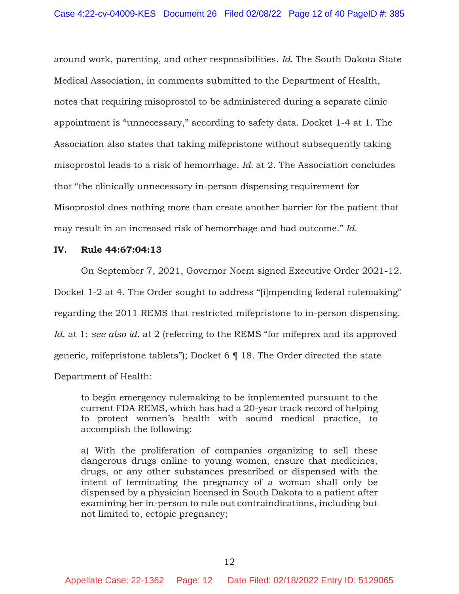around work, parenting, and other responsibilities. *Id.* The South Dakota State Medical Association, in comments submitted to the Department of Health, notes that requiring misoprostol to be administered during a separate clinic appointment is "unnecessary," according to safety data. Docket 1-4 at 1. The Association also states that taking mifepristone without subsequently taking misoprostol leads to a risk of hemorrhage. *Id.* at 2. The Association concludes that "the clinically unnecessary in-person dispensing requirement for Misoprostol does nothing more than create another barrier for the patient that may result in an increased risk of hemorrhage and bad outcome." *Id.*

#### **IV. Rule 44:67:04:13**

On September 7, 2021, Governor Noem signed Executive Order 2021-12. Docket 1-2 at 4. The Order sought to address "[i]mpending federal rulemaking" regarding the 2011 REMS that restricted mifepristone to in-person dispensing. *Id.* at 1; *see also id.* at 2 (referring to the REMS "for mifeprex and its approved generic, mifepristone tablets"); Docket 6 ¶ 18. The Order directed the state Department of Health:

to begin emergency rulemaking to be implemented pursuant to the current FDA REMS, which has had a 20-year track record of helping to protect women's health with sound medical practice, to accomplish the following:

a) With the proliferation of companies organizing to sell these dangerous drugs online to young women, ensure that medicines, drugs, or any other substances prescribed or dispensed with the intent of terminating the pregnancy of a woman shall only be dispensed by a physician licensed in South Dakota to a patient after examining her in-person to rule out contraindications, including but not limited to, ectopic pregnancy;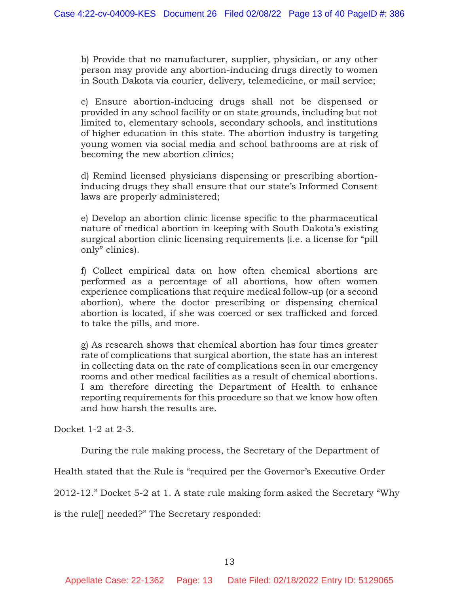b) Provide that no manufacturer, supplier, physician, or any other person may provide any abortion-inducing drugs directly to women in South Dakota via courier, delivery, telemedicine, or mail service;

c) Ensure abortion-inducing drugs shall not be dispensed or provided in any school facility or on state grounds, including but not limited to, elementary schools, secondary schools, and institutions of higher education in this state. The abortion industry is targeting young women via social media and school bathrooms are at risk of becoming the new abortion clinics;

d) Remind licensed physicians dispensing or prescribing abortioninducing drugs they shall ensure that our state's Informed Consent laws are properly administered;

e) Develop an abortion clinic license specific to the pharmaceutical nature of medical abortion in keeping with South Dakota's existing surgical abortion clinic licensing requirements (i.e. a license for "pill only" clinics).

f) Collect empirical data on how often chemical abortions are performed as a percentage of all abortions, how often women experience complications that require medical follow-up (or a second abortion), where the doctor prescribing or dispensing chemical abortion is located, if she was coerced or sex trafficked and forced to take the pills, and more.

g) As research shows that chemical abortion has four times greater rate of complications that surgical abortion, the state has an interest in collecting data on the rate of complications seen in our emergency rooms and other medical facilities as a result of chemical abortions. I am therefore directing the Department of Health to enhance reporting requirements for this procedure so that we know how often and how harsh the results are.

Docket 1-2 at 2-3.

During the rule making process, the Secretary of the Department of

Health stated that the Rule is "required per the Governor's Executive Order

2012-12." Docket 5-2 at 1. A state rule making form asked the Secretary "Why

is the rule[] needed?" The Secretary responded: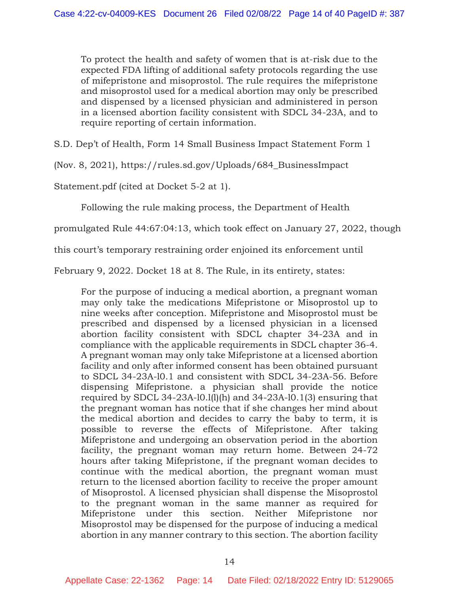To protect the health and safety of women that is at-risk due to the expected FDA lifting of additional safety protocols regarding the use of mifepristone and misoprostol. The rule requires the mifepristone and misoprostol used for a medical abortion may only be prescribed and dispensed by a licensed physician and administered in person in a licensed abortion facility consistent with SDCL 34-23A, and to require reporting of certain information.

S.D. Dep't of Health, Form 14 Small Business Impact Statement Form 1

(Nov. 8, 2021), https://rules.sd.gov/Uploads/684\_BusinessImpact

Statement.pdf (cited at Docket 5-2 at 1).

Following the rule making process, the Department of Health

promulgated Rule 44:67:04:13, which took effect on January 27, 2022, though

this court's temporary restraining order enjoined its enforcement until

February 9, 2022. Docket 18 at 8. The Rule, in its entirety, states:

For the purpose of inducing a medical abortion, a pregnant woman may only take the medications Mifepristone or Misoprostol up to nine weeks after conception. Mifepristone and Misoprostol must be prescribed and dispensed by a licensed physician in a licensed abortion facility consistent with SDCL chapter 34-23A and in compliance with the applicable requirements in SDCL chapter 36-4. A pregnant woman may only take Mifepristone at a licensed abortion facility and only after informed consent has been obtained pursuant to SDCL 34-23A-l0.1 and consistent with SDCL 34-23A-56. Before dispensing Mifepristone. a physician shall provide the notice required by SDCL 34-23A-l0.l(l)(h) and 34-23A-l0.1(3) ensuring that the pregnant woman has notice that if she changes her mind about the medical abortion and decides to carry the baby to term, it is possible to reverse the effects of Mifepristone. After taking Mifepristone and undergoing an observation period in the abortion facility, the pregnant woman may return home. Between 24-72 hours after taking Mifepristone, if the pregnant woman decides to continue with the medical abortion, the pregnant woman must return to the licensed abortion facility to receive the proper amount of Misoprostol. A licensed physician shall dispense the Misoprostol to the pregnant woman in the same manner as required for Mifepristone under this section. Neither Mifepristone nor Misoprostol may be dispensed for the purpose of inducing a medical abortion in any manner contrary to this section. The abortion facility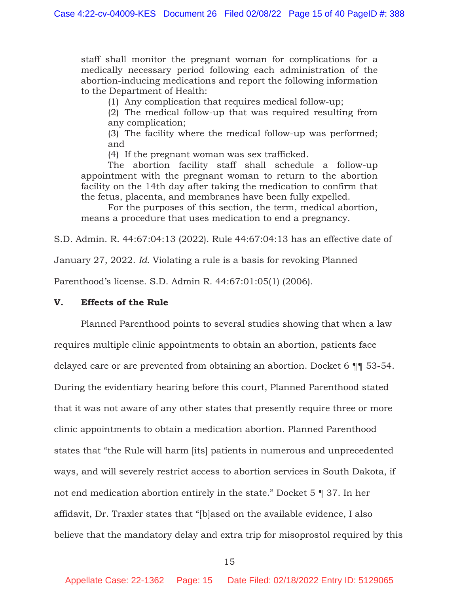staff shall monitor the pregnant woman for complications for a medically necessary period following each administration of the abortion-inducing medications and report the following information to the Department of Health:

(1) Any complication that requires medical follow-up;

(2) The medical follow-up that was required resulting from any complication;

(3) The facility where the medical follow-up was performed; and

(4) If the pregnant woman was sex trafficked.

The abortion facility staff shall schedule a follow-up appointment with the pregnant woman to return to the abortion facility on the 14th day after taking the medication to confirm that the fetus, placenta, and membranes have been fully expelled.

For the purposes of this section, the term, medical abortion, means a procedure that uses medication to end a pregnancy.

S.D. Admin. R. 44:67:04:13 (2022). Rule 44:67:04:13 has an effective date of

January 27, 2022. *Id.* Violating a rule is a basis for revoking Planned

Parenthood's license. S.D. Admin R. 44:67:01:05(1) (2006).

#### **V. Effects of the Rule**

 Planned Parenthood points to several studies showing that when a law requires multiple clinic appointments to obtain an abortion, patients face delayed care or are prevented from obtaining an abortion. Docket 6 ¶¶ 53-54. During the evidentiary hearing before this court, Planned Parenthood stated that it was not aware of any other states that presently require three or more clinic appointments to obtain a medication abortion. Planned Parenthood states that "the Rule will harm [its] patients in numerous and unprecedented ways, and will severely restrict access to abortion services in South Dakota, if not end medication abortion entirely in the state." Docket 5 ¶ 37. In her affidavit, Dr. Traxler states that "[b]ased on the available evidence, I also believe that the mandatory delay and extra trip for misoprostol required by this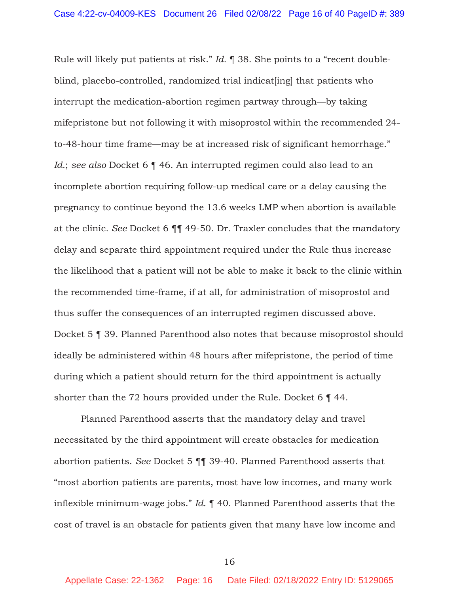Rule will likely put patients at risk." *Id.* ¶ 38. She points to a "recent doubleblind, placebo-controlled, randomized trial indicat[ing] that patients who interrupt the medication-abortion regimen partway through—by taking mifepristone but not following it with misoprostol within the recommended 24 to-48-hour time frame—may be at increased risk of significant hemorrhage." *Id.*; *see also* Docket 6 ¶ 46. An interrupted regimen could also lead to an incomplete abortion requiring follow-up medical care or a delay causing the pregnancy to continue beyond the 13.6 weeks LMP when abortion is available at the clinic. *See* Docket 6 ¶¶ 49-50. Dr. Traxler concludes that the mandatory delay and separate third appointment required under the Rule thus increase the likelihood that a patient will not be able to make it back to the clinic within the recommended time-frame, if at all, for administration of misoprostol and thus suffer the consequences of an interrupted regimen discussed above. Docket 5 ¶ 39. Planned Parenthood also notes that because misoprostol should ideally be administered within 48 hours after mifepristone, the period of time during which a patient should return for the third appointment is actually shorter than the 72 hours provided under the Rule. Docket 6 ¶ 44.

Planned Parenthood asserts that the mandatory delay and travel necessitated by the third appointment will create obstacles for medication abortion patients. *See* Docket 5 ¶¶ 39-40. Planned Parenthood asserts that "most abortion patients are parents, most have low incomes, and many work inflexible minimum-wage jobs." *Id.* ¶ 40. Planned Parenthood asserts that the cost of travel is an obstacle for patients given that many have low income and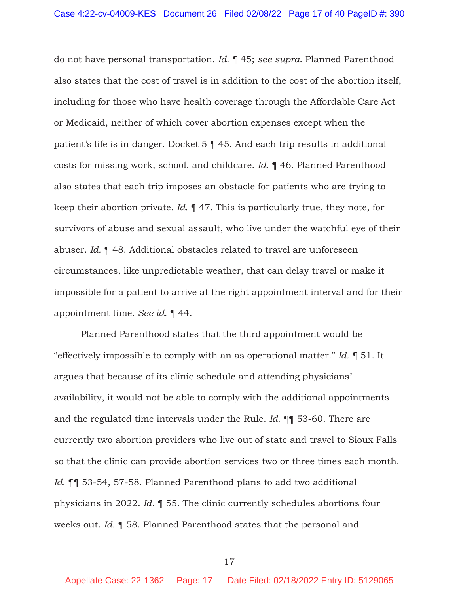do not have personal transportation. *Id.* ¶ 45; *see supra*. Planned Parenthood also states that the cost of travel is in addition to the cost of the abortion itself, including for those who have health coverage through the Affordable Care Act or Medicaid, neither of which cover abortion expenses except when the patient's life is in danger. Docket 5 ¶ 45. And each trip results in additional costs for missing work, school, and childcare. *Id.* ¶ 46. Planned Parenthood also states that each trip imposes an obstacle for patients who are trying to keep their abortion private. *Id.* ¶ 47. This is particularly true, they note, for survivors of abuse and sexual assault, who live under the watchful eye of their abuser. *Id.* ¶ 48. Additional obstacles related to travel are unforeseen circumstances, like unpredictable weather, that can delay travel or make it impossible for a patient to arrive at the right appointment interval and for their appointment time. *See id.* ¶ 44.

Planned Parenthood states that the third appointment would be "effectively impossible to comply with an as operational matter." *Id.* ¶ 51. It argues that because of its clinic schedule and attending physicians' availability, it would not be able to comply with the additional appointments and the regulated time intervals under the Rule. *Id.* ¶¶ 53-60. There are currently two abortion providers who live out of state and travel to Sioux Falls so that the clinic can provide abortion services two or three times each month. *Id.* ¶¶ 53-54, 57-58. Planned Parenthood plans to add two additional physicians in 2022. *Id.* ¶ 55. The clinic currently schedules abortions four weeks out. *Id.* ¶ 58. Planned Parenthood states that the personal and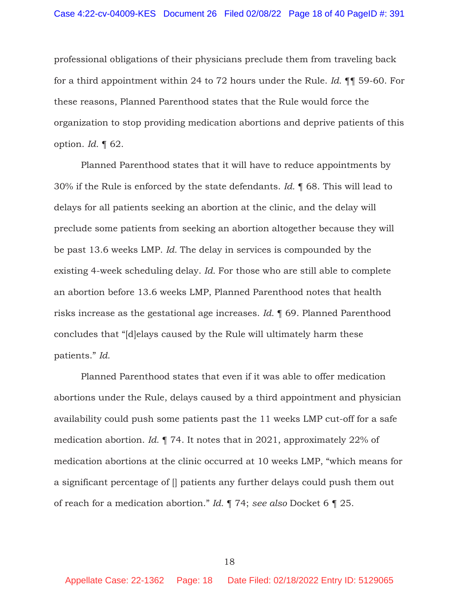professional obligations of their physicians preclude them from traveling back for a third appointment within 24 to 72 hours under the Rule. *Id.* ¶¶ 59-60. For these reasons, Planned Parenthood states that the Rule would force the organization to stop providing medication abortions and deprive patients of this option. *Id.* ¶ 62.

Planned Parenthood states that it will have to reduce appointments by 30% if the Rule is enforced by the state defendants. *Id.* ¶ 68. This will lead to delays for all patients seeking an abortion at the clinic, and the delay will preclude some patients from seeking an abortion altogether because they will be past 13.6 weeks LMP. *Id.* The delay in services is compounded by the existing 4-week scheduling delay. *Id.* For those who are still able to complete an abortion before 13.6 weeks LMP, Planned Parenthood notes that health risks increase as the gestational age increases. *Id.* ¶ 69. Planned Parenthood concludes that "[d]elays caused by the Rule will ultimately harm these patients." *Id.*

Planned Parenthood states that even if it was able to offer medication abortions under the Rule, delays caused by a third appointment and physician availability could push some patients past the 11 weeks LMP cut-off for a safe medication abortion. *Id.* ¶ 74. It notes that in 2021, approximately 22% of medication abortions at the clinic occurred at 10 weeks LMP, "which means for a significant percentage of [] patients any further delays could push them out of reach for a medication abortion." *Id.* ¶ 74; *see also* Docket 6 ¶ 25.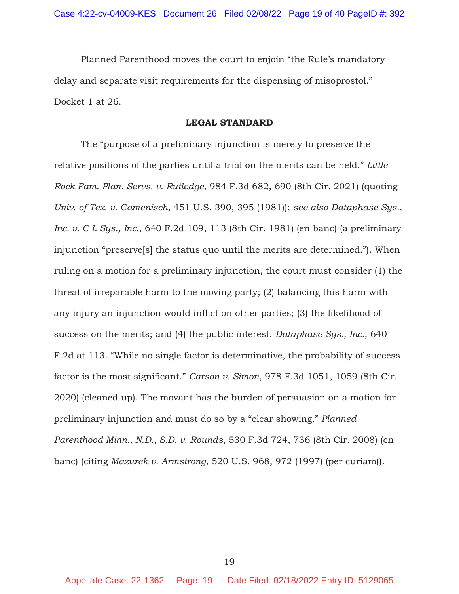Planned Parenthood moves the court to enjoin "the Rule's mandatory delay and separate visit requirements for the dispensing of misoprostol." Docket 1 at 26.

#### **LEGAL STANDARD**

The "purpose of a preliminary injunction is merely to preserve the relative positions of the parties until a trial on the merits can be held." *Little Rock Fam. Plan. Servs. v. Rutledge*, 984 F.3d 682, 690 (8th Cir. 2021) (quoting *Univ. of Tex. v. Camenisch*, 451 U.S. 390, 395 (1981)); *see also Dataphase Sys., Inc. v. C L Sys., Inc.*, 640 F.2d 109, 113 (8th Cir. 1981) (en banc) (a preliminary injunction "preserve[s] the status quo until the merits are determined."). When ruling on a motion for a preliminary injunction, the court must consider (1) the threat of irreparable harm to the moving party; (2) balancing this harm with any injury an injunction would inflict on other parties; (3) the likelihood of success on the merits; and (4) the public interest. *Dataphase Sys., Inc.*, 640 F.2d at 113. "While no single factor is determinative, the probability of success factor is the most significant." *Carson v. Simon*, 978 F.3d 1051, 1059 (8th Cir. 2020) (cleaned up). The movant has the burden of persuasion on a motion for preliminary injunction and must do so by a "clear showing." *Planned Parenthood Minn., N.D., S.D. v. Rounds*, 530 F.3d 724, 736 (8th Cir. 2008) (en banc) (citing *Mazurek v. Armstrong*, 520 U.S. 968, 972 (1997) (per curiam)).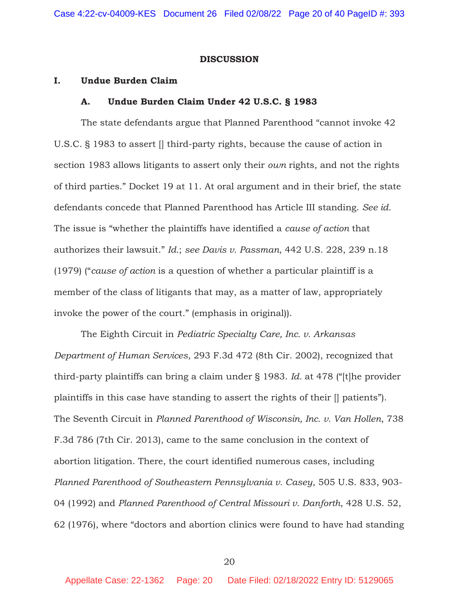#### **DISCUSSION**

#### **I. Undue Burden Claim**

#### **A. Undue Burden Claim Under 42 U.S.C. § 1983**

The state defendants argue that Planned Parenthood "cannot invoke 42 U.S.C. § 1983 to assert [] third-party rights, because the cause of action in section 1983 allows litigants to assert only their *own* rights, and not the rights of third parties." Docket 19 at 11. At oral argument and in their brief, the state defendants concede that Planned Parenthood has Article III standing. *See id.* The issue is "whether the plaintiffs have identified a *cause of action* that authorizes their lawsuit." *Id.*; *see Davis v. Passman*, 442 U.S. 228, 239 n.18 (1979) ("*cause of action* is a question of whether a particular plaintiff is a member of the class of litigants that may, as a matter of law, appropriately invoke the power of the court." (emphasis in original)).

 The Eighth Circuit in *Pediatric Specialty Care, Inc. v. Arkansas Department of Human Services*, 293 F.3d 472 (8th Cir. 2002), recognized that third-party plaintiffs can bring a claim under § 1983. *Id.* at 478 ("[t]he provider plaintiffs in this case have standing to assert the rights of their [] patients"). The Seventh Circuit in *Planned Parenthood of Wisconsin, Inc. v. Van Hollen*, 738 F.3d 786 (7th Cir. 2013), came to the same conclusion in the context of abortion litigation. There, the court identified numerous cases, including *Planned Parenthood of Southeastern Pennsylvania v. Casey*, 505 U.S. 833, 903- 04 (1992) and *Planned Parenthood of Central Missouri v. Danforth*, 428 U.S. 52, 62 (1976), where "doctors and abortion clinics were found to have had standing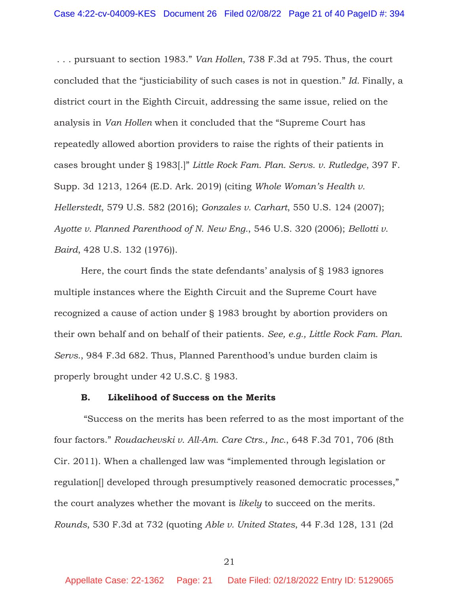. . . pursuant to section 1983." *Van Hollen*, 738 F.3d at 795. Thus, the court concluded that the "justiciability of such cases is not in question." *Id.* Finally, a district court in the Eighth Circuit, addressing the same issue, relied on the analysis in *Van Hollen* when it concluded that the "Supreme Court has repeatedly allowed abortion providers to raise the rights of their patients in cases brought under § 1983[.]" *Little Rock Fam. Plan. Servs. v. Rutledge*, 397 F. Supp. 3d 1213, 1264 (E.D. Ark. 2019) (citing *Whole Woman's Health v. Hellerstedt*, 579 U.S. 582 (2016); *Gonzales v. Carhart*, 550 U.S. 124 (2007); *Ayotte v. Planned Parenthood of N. New Eng.*, 546 U.S. 320 (2006); *Bellotti v. Baird*, 428 U.S. 132 (1976)).

 Here, the court finds the state defendants' analysis of § 1983 ignores multiple instances where the Eighth Circuit and the Supreme Court have recognized a cause of action under § 1983 brought by abortion providers on their own behalf and on behalf of their patients. *See, e.g., Little Rock Fam. Plan. Servs.*, 984 F.3d 682. Thus, Planned Parenthood's undue burden claim is properly brought under 42 U.S.C. § 1983.

#### **B. Likelihood of Success on the Merits**

 "Success on the merits has been referred to as the most important of the four factors." *Roudachevski v. All-Am. Care Ctrs., Inc.*, 648 F.3d 701, 706 (8th Cir. 2011). When a challenged law was "implemented through legislation or regulation[] developed through presumptively reasoned democratic processes," the court analyzes whether the movant is *likely* to succeed on the merits. *Rounds*, 530 F.3d at 732 (quoting *Able v. United States*, 44 F.3d 128, 131 (2d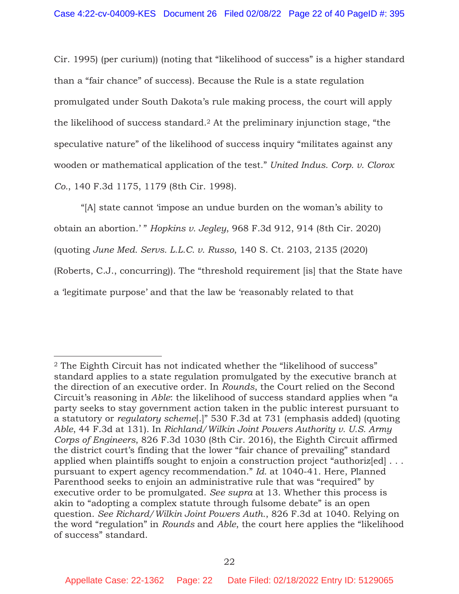Cir. 1995) (per curium)) (noting that "likelihood of success" is a higher standard than a "fair chance" of success). Because the Rule is a state regulation promulgated under South Dakota's rule making process, the court will apply the likelihood of success standard.2 At the preliminary injunction stage, "the speculative nature" of the likelihood of success inquiry "militates against any wooden or mathematical application of the test." *United Indus. Corp. v. Clorox Co.*, 140 F.3d 1175, 1179 (8th Cir. 1998).

"[A] state cannot 'impose an undue burden on the woman's ability to obtain an abortion.' " *Hopkins v. Jegley*, 968 F.3d 912, 914 (8th Cir. 2020) (quoting *June Med. Servs. L.L.C. v. Russo*, 140 S. Ct. 2103, 2135 (2020) (Roberts, C.J., concurring)). The "threshold requirement [is] that the State have a 'legitimate purpose' and that the law be 'reasonably related to that

<sup>&</sup>lt;sup>2</sup> The Eighth Circuit has not indicated whether the "likelihood of success" standard applies to a state regulation promulgated by the executive branch at the direction of an executive order. In *Rounds*, the Court relied on the Second Circuit's reasoning in *Able*: the likelihood of success standard applies when "a party seeks to stay government action taken in the public interest pursuant to a statutory or *regulatory scheme*[.]" 530 F.3d at 731 (emphasis added) (quoting *Able*, 44 F.3d at 131). In *Richland/Wilkin Joint Powers Authority v. U.S. Army Corps of Engineers*, 826 F.3d 1030 (8th Cir. 2016), the Eighth Circuit affirmed the district court's finding that the lower "fair chance of prevailing" standard applied when plaintiffs sought to enjoin a construction project "authorized... pursuant to expert agency recommendation." *Id.* at 1040-41. Here, Planned Parenthood seeks to enjoin an administrative rule that was "required" by executive order to be promulgated. *See supra* at 13. Whether this process is akin to "adopting a complex statute through fulsome debate" is an open question. *See Richard/Wilkin Joint Powers Auth.*, 826 F.3d at 1040. Relying on the word "regulation" in *Rounds* and *Able*, the court here applies the "likelihood of success" standard.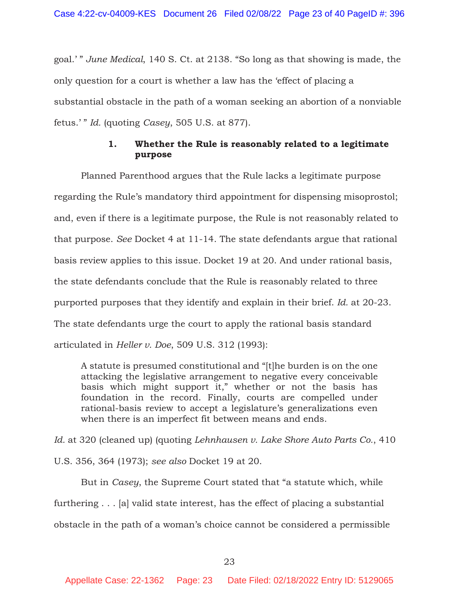goal.' " *June Medical*, 140 S. Ct. at 2138. "So long as that showing is made, the only question for a court is whether a law has the 'effect of placing a substantial obstacle in the path of a woman seeking an abortion of a nonviable fetus.' " *Id.* (quoting *Casey*, 505 U.S. at 877).

### **1. Whether the Rule is reasonably related to a legitimate purpose**

 Planned Parenthood argues that the Rule lacks a legitimate purpose regarding the Rule's mandatory third appointment for dispensing misoprostol; and, even if there is a legitimate purpose, the Rule is not reasonably related to that purpose. *See* Docket 4 at 11-14. The state defendants argue that rational basis review applies to this issue. Docket 19 at 20. And under rational basis, the state defendants conclude that the Rule is reasonably related to three purported purposes that they identify and explain in their brief. *Id.* at 20-23. The state defendants urge the court to apply the rational basis standard articulated in *Heller v. Doe*, 509 U.S. 312 (1993):

A statute is presumed constitutional and "[t]he burden is on the one attacking the legislative arrangement to negative every conceivable basis which might support it," whether or not the basis has foundation in the record. Finally, courts are compelled under rational-basis review to accept a legislature's generalizations even when there is an imperfect fit between means and ends.

*Id.* at 320 (cleaned up) (quoting *Lehnhausen v. Lake Shore Auto Parts Co.*, 410

U.S. 356, 364 (1973); *see also* Docket 19 at 20.

 But in *Casey*, the Supreme Court stated that "a statute which, while furthering . . . [a] valid state interest, has the effect of placing a substantial obstacle in the path of a woman's choice cannot be considered a permissible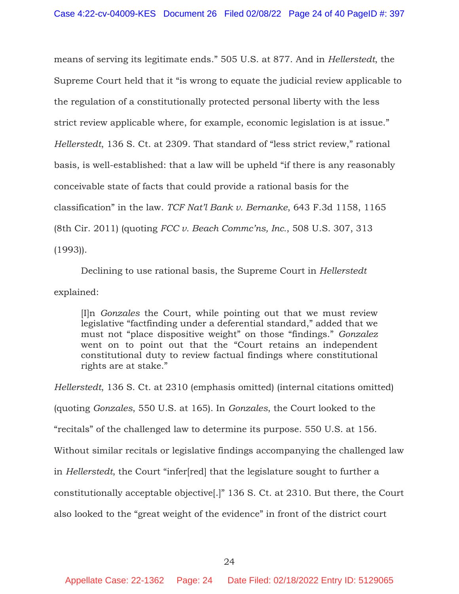means of serving its legitimate ends." 505 U.S. at 877. And in *Hellerstedt*, the Supreme Court held that it "is wrong to equate the judicial review applicable to the regulation of a constitutionally protected personal liberty with the less strict review applicable where, for example, economic legislation is at issue." *Hellerstedt*, 136 S. Ct. at 2309. That standard of "less strict review," rational basis, is well-established: that a law will be upheld "if there is any reasonably conceivable state of facts that could provide a rational basis for the classification" in the law. *TCF Nat'l Bank v. Bernanke*, 643 F.3d 1158, 1165 (8th Cir. 2011) (quoting *FCC v. Beach Commc'ns, Inc.*, 508 U.S. 307, 313 (1993)).

Declining to use rational basis, the Supreme Court in *Hellerstedt* explained:

[I]n *Gonzales* the Court, while pointing out that we must review legislative "factfinding under a deferential standard," added that we must not "place dispositive weight" on those "findings." *Gonzalez* went on to point out that the "Court retains an independent constitutional duty to review factual findings where constitutional rights are at stake."

*Hellerstedt*, 136 S. Ct. at 2310 (emphasis omitted) (internal citations omitted) (quoting *Gonzales*, 550 U.S. at 165). In *Gonzales*, the Court looked to the "recitals" of the challenged law to determine its purpose. 550 U.S. at 156. Without similar recitals or legislative findings accompanying the challenged law in *Hellerstedt*, the Court "infer[red] that the legislature sought to further a constitutionally acceptable objective[.]" 136 S. Ct. at 2310. But there, the Court also looked to the "great weight of the evidence" in front of the district court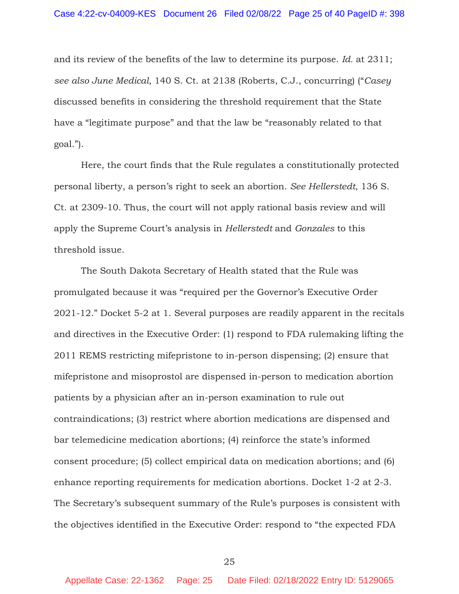and its review of the benefits of the law to determine its purpose. *Id.* at 2311; *see also June Medical*, 140 S. Ct. at 2138 (Roberts, C.J., concurring) ("*Casey* discussed benefits in considering the threshold requirement that the State have a "legitimate purpose" and that the law be "reasonably related to that goal.").

 Here, the court finds that the Rule regulates a constitutionally protected personal liberty, a person's right to seek an abortion. *See Hellerstedt*, 136 S. Ct. at 2309-10. Thus, the court will not apply rational basis review and will apply the Supreme Court's analysis in *Hellerstedt* and *Gonzales* to this threshold issue.

 The South Dakota Secretary of Health stated that the Rule was promulgated because it was "required per the Governor's Executive Order 2021-12." Docket 5-2 at 1. Several purposes are readily apparent in the recitals and directives in the Executive Order: (1) respond to FDA rulemaking lifting the 2011 REMS restricting mifepristone to in-person dispensing; (2) ensure that mifepristone and misoprostol are dispensed in-person to medication abortion patients by a physician after an in-person examination to rule out contraindications; (3) restrict where abortion medications are dispensed and bar telemedicine medication abortions; (4) reinforce the state's informed consent procedure; (5) collect empirical data on medication abortions; and (6) enhance reporting requirements for medication abortions. Docket 1-2 at 2-3. The Secretary's subsequent summary of the Rule's purposes is consistent with the objectives identified in the Executive Order: respond to "the expected FDA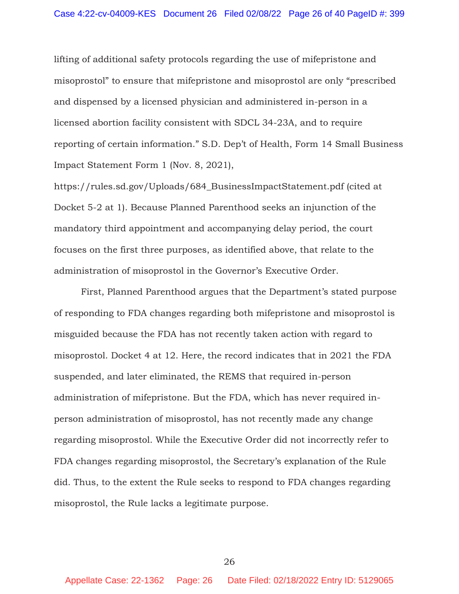lifting of additional safety protocols regarding the use of mifepristone and misoprostol" to ensure that mifepristone and misoprostol are only "prescribed and dispensed by a licensed physician and administered in-person in a licensed abortion facility consistent with SDCL 34-23A, and to require reporting of certain information." S.D. Dep't of Health, Form 14 Small Business Impact Statement Form 1 (Nov. 8, 2021),

https://rules.sd.gov/Uploads/684\_BusinessImpactStatement.pdf (cited at Docket 5-2 at 1). Because Planned Parenthood seeks an injunction of the mandatory third appointment and accompanying delay period, the court focuses on the first three purposes, as identified above, that relate to the administration of misoprostol in the Governor's Executive Order.

First, Planned Parenthood argues that the Department's stated purpose of responding to FDA changes regarding both mifepristone and misoprostol is misguided because the FDA has not recently taken action with regard to misoprostol. Docket 4 at 12. Here, the record indicates that in 2021 the FDA suspended, and later eliminated, the REMS that required in-person administration of mifepristone. But the FDA, which has never required inperson administration of misoprostol, has not recently made any change regarding misoprostol. While the Executive Order did not incorrectly refer to FDA changes regarding misoprostol, the Secretary's explanation of the Rule did. Thus, to the extent the Rule seeks to respond to FDA changes regarding misoprostol, the Rule lacks a legitimate purpose.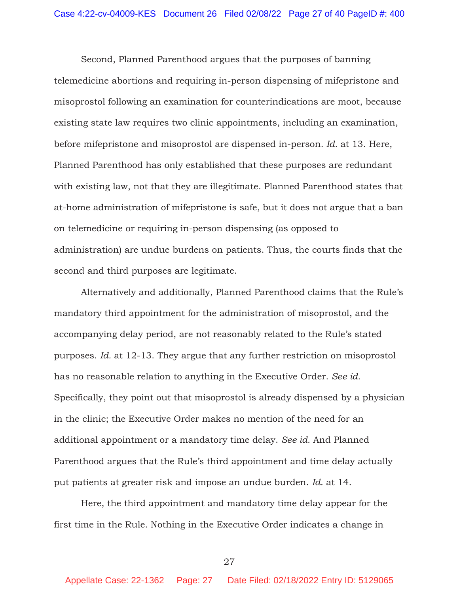Second, Planned Parenthood argues that the purposes of banning telemedicine abortions and requiring in-person dispensing of mifepristone and misoprostol following an examination for counterindications are moot, because existing state law requires two clinic appointments, including an examination, before mifepristone and misoprostol are dispensed in-person. *Id.* at 13. Here, Planned Parenthood has only established that these purposes are redundant with existing law, not that they are illegitimate. Planned Parenthood states that at-home administration of mifepristone is safe, but it does not argue that a ban on telemedicine or requiring in-person dispensing (as opposed to administration) are undue burdens on patients. Thus, the courts finds that the second and third purposes are legitimate.

Alternatively and additionally, Planned Parenthood claims that the Rule's mandatory third appointment for the administration of misoprostol, and the accompanying delay period, are not reasonably related to the Rule's stated purposes. *Id.* at 12-13. They argue that any further restriction on misoprostol has no reasonable relation to anything in the Executive Order. *See id.* Specifically, they point out that misoprostol is already dispensed by a physician in the clinic; the Executive Order makes no mention of the need for an additional appointment or a mandatory time delay. *See id.* And Planned Parenthood argues that the Rule's third appointment and time delay actually put patients at greater risk and impose an undue burden. *Id.* at 14.

Here, the third appointment and mandatory time delay appear for the first time in the Rule. Nothing in the Executive Order indicates a change in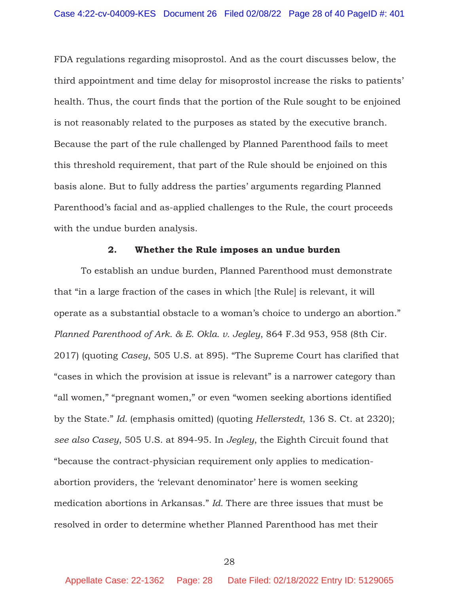FDA regulations regarding misoprostol. And as the court discusses below, the third appointment and time delay for misoprostol increase the risks to patients' health. Thus, the court finds that the portion of the Rule sought to be enjoined is not reasonably related to the purposes as stated by the executive branch. Because the part of the rule challenged by Planned Parenthood fails to meet this threshold requirement, that part of the Rule should be enjoined on this basis alone. But to fully address the parties' arguments regarding Planned Parenthood's facial and as-applied challenges to the Rule, the court proceeds with the undue burden analysis.

#### **2. Whether the Rule imposes an undue burden**

 To establish an undue burden, Planned Parenthood must demonstrate that "in a large fraction of the cases in which [the Rule] is relevant, it will operate as a substantial obstacle to a woman's choice to undergo an abortion." *Planned Parenthood of Ark. & E. Okla. v. Jegley*, 864 F.3d 953, 958 (8th Cir. 2017) (quoting *Casey*, 505 U.S. at 895). "The Supreme Court has clarified that "cases in which the provision at issue is relevant" is a narrower category than "all women," "pregnant women," or even "women seeking abortions identified by the State." *Id.* (emphasis omitted) (quoting *Hellerstedt*, 136 S. Ct. at 2320); *see also Casey*, 505 U.S. at 894-95. In *Jegley*, the Eighth Circuit found that "because the contract-physician requirement only applies to medicationabortion providers, the 'relevant denominator' here is women seeking medication abortions in Arkansas." *Id.* There are three issues that must be resolved in order to determine whether Planned Parenthood has met their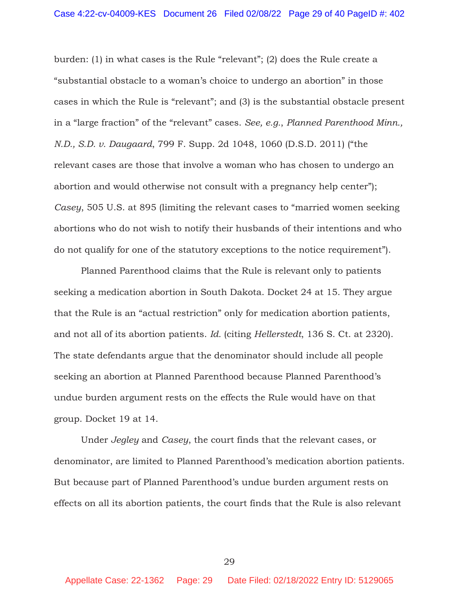burden: (1) in what cases is the Rule "relevant"; (2) does the Rule create a "substantial obstacle to a woman's choice to undergo an abortion" in those cases in which the Rule is "relevant"; and (3) is the substantial obstacle present in a "large fraction" of the "relevant" cases. *See, e.g.*, *Planned Parenthood Minn., N.D., S.D. v. Daugaard*, 799 F. Supp. 2d 1048, 1060 (D.S.D. 2011) ("the relevant cases are those that involve a woman who has chosen to undergo an abortion and would otherwise not consult with a pregnancy help center"); *Casey*, 505 U.S. at 895 (limiting the relevant cases to "married women seeking abortions who do not wish to notify their husbands of their intentions and who do not qualify for one of the statutory exceptions to the notice requirement").

 Planned Parenthood claims that the Rule is relevant only to patients seeking a medication abortion in South Dakota. Docket 24 at 15. They argue that the Rule is an "actual restriction" only for medication abortion patients, and not all of its abortion patients. *Id.* (citing *Hellerstedt*, 136 S. Ct. at 2320). The state defendants argue that the denominator should include all people seeking an abortion at Planned Parenthood because Planned Parenthood's undue burden argument rests on the effects the Rule would have on that group. Docket 19 at 14.

 Under *Jegley* and *Casey*, the court finds that the relevant cases, or denominator, are limited to Planned Parenthood's medication abortion patients. But because part of Planned Parenthood's undue burden argument rests on effects on all its abortion patients, the court finds that the Rule is also relevant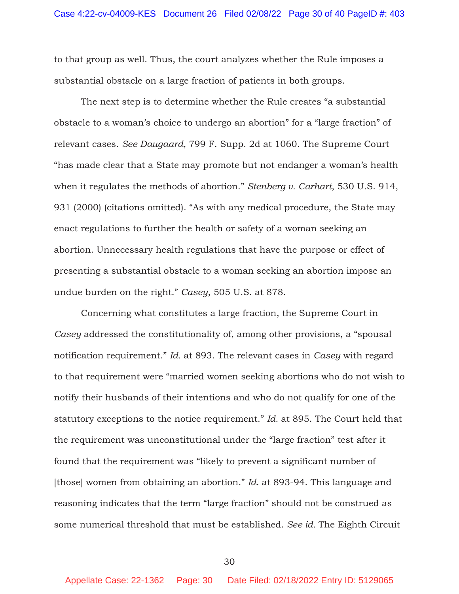to that group as well. Thus, the court analyzes whether the Rule imposes a substantial obstacle on a large fraction of patients in both groups.

The next step is to determine whether the Rule creates "a substantial obstacle to a woman's choice to undergo an abortion" for a "large fraction" of relevant cases. *See Daugaard*, 799 F. Supp. 2d at 1060. The Supreme Court "has made clear that a State may promote but not endanger a woman's health when it regulates the methods of abortion." *Stenberg v. Carhart*, 530 U.S. 914, 931 (2000) (citations omitted). "As with any medical procedure, the State may enact regulations to further the health or safety of a woman seeking an abortion. Unnecessary health regulations that have the purpose or effect of presenting a substantial obstacle to a woman seeking an abortion impose an undue burden on the right." *Casey*, 505 U.S. at 878.

Concerning what constitutes a large fraction, the Supreme Court in *Casey* addressed the constitutionality of, among other provisions, a "spousal notification requirement." *Id.* at 893. The relevant cases in *Casey* with regard to that requirement were "married women seeking abortions who do not wish to notify their husbands of their intentions and who do not qualify for one of the statutory exceptions to the notice requirement." *Id.* at 895. The Court held that the requirement was unconstitutional under the "large fraction" test after it found that the requirement was "likely to prevent a significant number of [those] women from obtaining an abortion." *Id.* at 893-94. This language and reasoning indicates that the term "large fraction" should not be construed as some numerical threshold that must be established. *See id.* The Eighth Circuit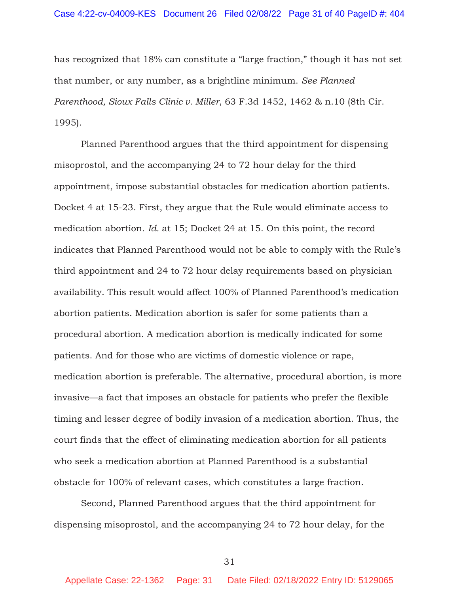has recognized that 18% can constitute a "large fraction," though it has not set that number, or any number, as a brightline minimum. *See Planned Parenthood, Sioux Falls Clinic v. Miller*, 63 F.3d 1452, 1462 & n.10 (8th Cir. 1995).

Planned Parenthood argues that the third appointment for dispensing misoprostol, and the accompanying 24 to 72 hour delay for the third appointment, impose substantial obstacles for medication abortion patients. Docket 4 at 15-23. First, they argue that the Rule would eliminate access to medication abortion. *Id.* at 15; Docket 24 at 15. On this point, the record indicates that Planned Parenthood would not be able to comply with the Rule's third appointment and 24 to 72 hour delay requirements based on physician availability. This result would affect 100% of Planned Parenthood's medication abortion patients. Medication abortion is safer for some patients than a procedural abortion. A medication abortion is medically indicated for some patients. And for those who are victims of domestic violence or rape, medication abortion is preferable. The alternative, procedural abortion, is more invasive—a fact that imposes an obstacle for patients who prefer the flexible timing and lesser degree of bodily invasion of a medication abortion. Thus, the court finds that the effect of eliminating medication abortion for all patients who seek a medication abortion at Planned Parenthood is a substantial obstacle for 100% of relevant cases, which constitutes a large fraction.

Second, Planned Parenthood argues that the third appointment for dispensing misoprostol, and the accompanying 24 to 72 hour delay, for the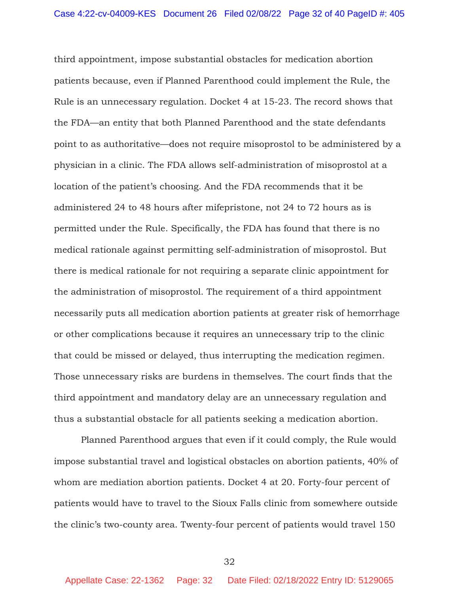third appointment, impose substantial obstacles for medication abortion patients because, even if Planned Parenthood could implement the Rule, the Rule is an unnecessary regulation. Docket 4 at 15-23. The record shows that the FDA—an entity that both Planned Parenthood and the state defendants point to as authoritative—does not require misoprostol to be administered by a physician in a clinic. The FDA allows self-administration of misoprostol at a location of the patient's choosing. And the FDA recommends that it be administered 24 to 48 hours after mifepristone, not 24 to 72 hours as is permitted under the Rule. Specifically, the FDA has found that there is no medical rationale against permitting self-administration of misoprostol. But there is medical rationale for not requiring a separate clinic appointment for the administration of misoprostol. The requirement of a third appointment necessarily puts all medication abortion patients at greater risk of hemorrhage or other complications because it requires an unnecessary trip to the clinic that could be missed or delayed, thus interrupting the medication regimen. Those unnecessary risks are burdens in themselves. The court finds that the third appointment and mandatory delay are an unnecessary regulation and thus a substantial obstacle for all patients seeking a medication abortion.

Planned Parenthood argues that even if it could comply, the Rule would impose substantial travel and logistical obstacles on abortion patients, 40% of whom are mediation abortion patients. Docket 4 at 20. Forty-four percent of patients would have to travel to the Sioux Falls clinic from somewhere outside the clinic's two-county area. Twenty-four percent of patients would travel 150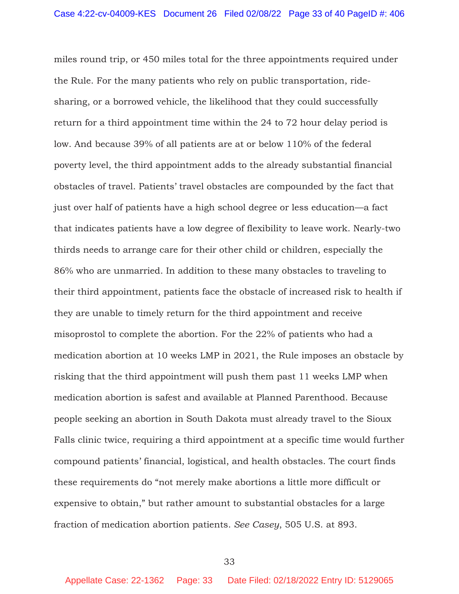miles round trip, or 450 miles total for the three appointments required under the Rule. For the many patients who rely on public transportation, ridesharing, or a borrowed vehicle, the likelihood that they could successfully return for a third appointment time within the 24 to 72 hour delay period is low. And because 39% of all patients are at or below 110% of the federal poverty level, the third appointment adds to the already substantial financial obstacles of travel. Patients' travel obstacles are compounded by the fact that just over half of patients have a high school degree or less education—a fact that indicates patients have a low degree of flexibility to leave work. Nearly-two thirds needs to arrange care for their other child or children, especially the 86% who are unmarried. In addition to these many obstacles to traveling to their third appointment, patients face the obstacle of increased risk to health if they are unable to timely return for the third appointment and receive misoprostol to complete the abortion. For the 22% of patients who had a medication abortion at 10 weeks LMP in 2021, the Rule imposes an obstacle by risking that the third appointment will push them past 11 weeks LMP when medication abortion is safest and available at Planned Parenthood. Because people seeking an abortion in South Dakota must already travel to the Sioux Falls clinic twice, requiring a third appointment at a specific time would further compound patients' financial, logistical, and health obstacles. The court finds these requirements do "not merely make abortions a little more difficult or expensive to obtain," but rather amount to substantial obstacles for a large fraction of medication abortion patients. *See Casey*, 505 U.S. at 893.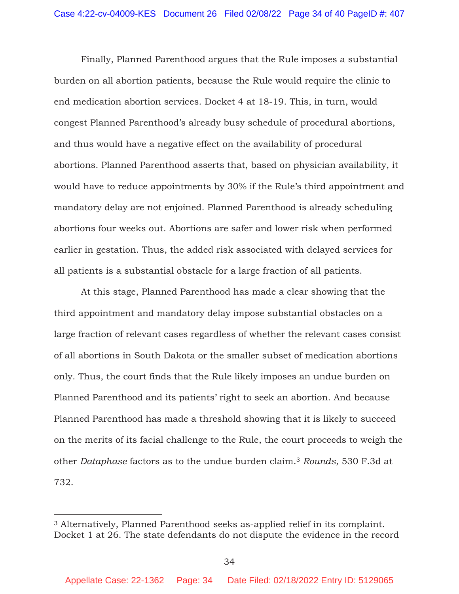Finally, Planned Parenthood argues that the Rule imposes a substantial burden on all abortion patients, because the Rule would require the clinic to end medication abortion services. Docket 4 at 18-19. This, in turn, would congest Planned Parenthood's already busy schedule of procedural abortions, and thus would have a negative effect on the availability of procedural abortions. Planned Parenthood asserts that, based on physician availability, it would have to reduce appointments by 30% if the Rule's third appointment and mandatory delay are not enjoined. Planned Parenthood is already scheduling abortions four weeks out. Abortions are safer and lower risk when performed earlier in gestation. Thus, the added risk associated with delayed services for all patients is a substantial obstacle for a large fraction of all patients.

 At this stage, Planned Parenthood has made a clear showing that the third appointment and mandatory delay impose substantial obstacles on a large fraction of relevant cases regardless of whether the relevant cases consist of all abortions in South Dakota or the smaller subset of medication abortions only. Thus, the court finds that the Rule likely imposes an undue burden on Planned Parenthood and its patients' right to seek an abortion. And because Planned Parenthood has made a threshold showing that it is likely to succeed on the merits of its facial challenge to the Rule, the court proceeds to weigh the other *Dataphase* factors as to the undue burden claim.3 *Rounds*, 530 F.3d at 732.

<sup>3</sup> Alternatively, Planned Parenthood seeks as-applied relief in its complaint. Docket 1 at 26. The state defendants do not dispute the evidence in the record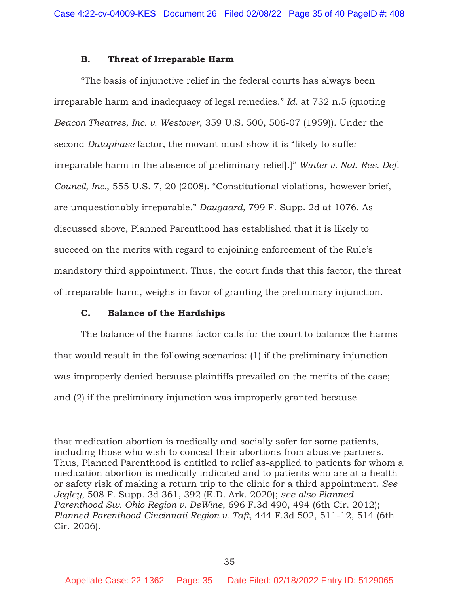#### **B. Threat of Irreparable Harm**

"The basis of injunctive relief in the federal courts has always been irreparable harm and inadequacy of legal remedies." *Id.* at 732 n.5 (quoting *Beacon Theatres, Inc. v. Westover*, 359 U.S. 500, 506-07 (1959)). Under the second *Dataphase* factor, the movant must show it is "likely to suffer irreparable harm in the absence of preliminary relief[.]" *Winter v. Nat. Res. Def. Council, Inc.*, 555 U.S. 7, 20 (2008). "Constitutional violations, however brief, are unquestionably irreparable." *Daugaard*, 799 F. Supp. 2d at 1076. As discussed above, Planned Parenthood has established that it is likely to succeed on the merits with regard to enjoining enforcement of the Rule's mandatory third appointment. Thus, the court finds that this factor, the threat of irreparable harm, weighs in favor of granting the preliminary injunction.

#### **C. Balance of the Hardships**

The balance of the harms factor calls for the court to balance the harms that would result in the following scenarios: (1) if the preliminary injunction was improperly denied because plaintiffs prevailed on the merits of the case; and (2) if the preliminary injunction was improperly granted because

that medication abortion is medically and socially safer for some patients, including those who wish to conceal their abortions from abusive partners. Thus, Planned Parenthood is entitled to relief as-applied to patients for whom a medication abortion is medically indicated and to patients who are at a health or safety risk of making a return trip to the clinic for a third appointment. *See Jegley*, 508 F. Supp. 3d 361, 392 (E.D. Ark. 2020); *see also Planned Parenthood Sw. Ohio Region v. DeWine*, 696 F.3d 490, 494 (6th Cir. 2012); *Planned Parenthood Cincinnati Region v. Taft*, 444 F.3d 502, 511-12, 514 (6th Cir. 2006).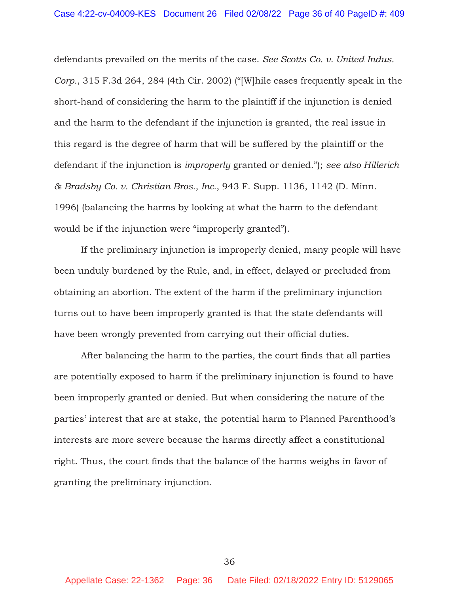defendants prevailed on the merits of the case. *See Scotts Co. v. United Indus. Corp.*, 315 F.3d 264, 284 (4th Cir. 2002) ("[W]hile cases frequently speak in the short-hand of considering the harm to the plaintiff if the injunction is denied and the harm to the defendant if the injunction is granted, the real issue in this regard is the degree of harm that will be suffered by the plaintiff or the defendant if the injunction is *improperly* granted or denied."); *see also Hillerich & Bradsby Co. v. Christian Bros., Inc.*, 943 F. Supp. 1136, 1142 (D. Minn. 1996) (balancing the harms by looking at what the harm to the defendant would be if the injunction were "improperly granted").

If the preliminary injunction is improperly denied, many people will have been unduly burdened by the Rule, and, in effect, delayed or precluded from obtaining an abortion. The extent of the harm if the preliminary injunction turns out to have been improperly granted is that the state defendants will have been wrongly prevented from carrying out their official duties.

After balancing the harm to the parties, the court finds that all parties are potentially exposed to harm if the preliminary injunction is found to have been improperly granted or denied. But when considering the nature of the parties' interest that are at stake, the potential harm to Planned Parenthood's interests are more severe because the harms directly affect a constitutional right. Thus, the court finds that the balance of the harms weighs in favor of granting the preliminary injunction.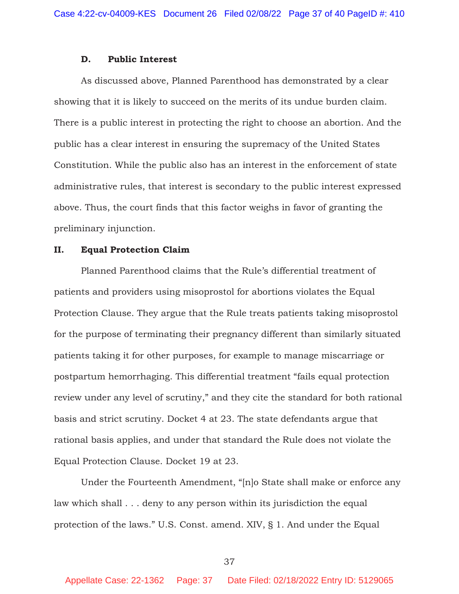#### **D. Public Interest**

As discussed above, Planned Parenthood has demonstrated by a clear showing that it is likely to succeed on the merits of its undue burden claim. There is a public interest in protecting the right to choose an abortion. And the public has a clear interest in ensuring the supremacy of the United States Constitution. While the public also has an interest in the enforcement of state administrative rules, that interest is secondary to the public interest expressed above. Thus, the court finds that this factor weighs in favor of granting the preliminary injunction.

#### **II. Equal Protection Claim**

Planned Parenthood claims that the Rule's differential treatment of patients and providers using misoprostol for abortions violates the Equal Protection Clause. They argue that the Rule treats patients taking misoprostol for the purpose of terminating their pregnancy different than similarly situated patients taking it for other purposes, for example to manage miscarriage or postpartum hemorrhaging. This differential treatment "fails equal protection review under any level of scrutiny," and they cite the standard for both rational basis and strict scrutiny. Docket 4 at 23. The state defendants argue that rational basis applies, and under that standard the Rule does not violate the Equal Protection Clause. Docket 19 at 23.

 Under the Fourteenth Amendment, "[n]o State shall make or enforce any law which shall . . . deny to any person within its jurisdiction the equal protection of the laws." U.S. Const. amend. XIV, § 1. And under the Equal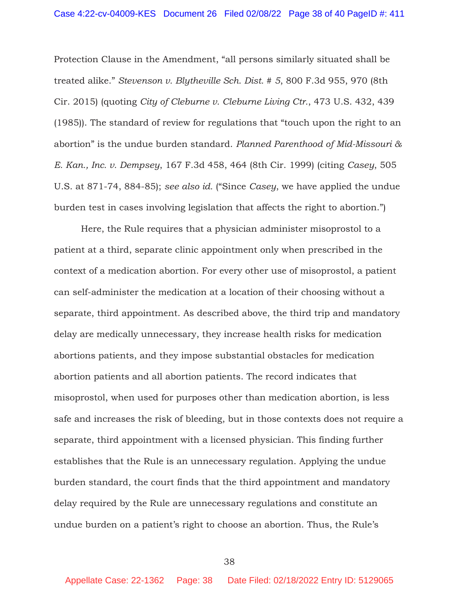Protection Clause in the Amendment, "all persons similarly situated shall be treated alike." *Stevenson v. Blytheville Sch. Dist. # 5*, 800 F.3d 955, 970 (8th Cir. 2015) (quoting *City of Cleburne v. Cleburne Living Ctr.*, 473 U.S. 432, 439 (1985)). The standard of review for regulations that "touch upon the right to an abortion" is the undue burden standard. *Planned Parenthood of Mid-Missouri & E. Kan., Inc. v. Dempsey*, 167 F.3d 458, 464 (8th Cir. 1999) (citing *Casey*, 505 U.S. at 871-74, 884-85); *see also id.* ("Since *Casey*, we have applied the undue burden test in cases involving legislation that affects the right to abortion.")

 Here, the Rule requires that a physician administer misoprostol to a patient at a third, separate clinic appointment only when prescribed in the context of a medication abortion. For every other use of misoprostol, a patient can self-administer the medication at a location of their choosing without a separate, third appointment. As described above, the third trip and mandatory delay are medically unnecessary, they increase health risks for medication abortions patients, and they impose substantial obstacles for medication abortion patients and all abortion patients. The record indicates that misoprostol, when used for purposes other than medication abortion, is less safe and increases the risk of bleeding, but in those contexts does not require a separate, third appointment with a licensed physician. This finding further establishes that the Rule is an unnecessary regulation. Applying the undue burden standard, the court finds that the third appointment and mandatory delay required by the Rule are unnecessary regulations and constitute an undue burden on a patient's right to choose an abortion. Thus, the Rule's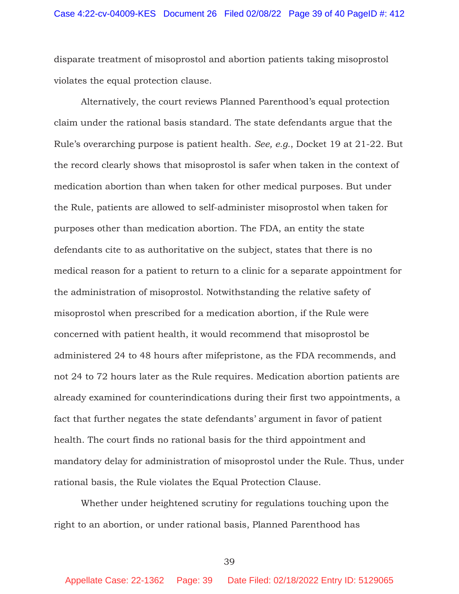disparate treatment of misoprostol and abortion patients taking misoprostol violates the equal protection clause.

Alternatively, the court reviews Planned Parenthood's equal protection claim under the rational basis standard. The state defendants argue that the Rule's overarching purpose is patient health. *See, e.g.*, Docket 19 at 21-22. But the record clearly shows that misoprostol is safer when taken in the context of medication abortion than when taken for other medical purposes. But under the Rule, patients are allowed to self-administer misoprostol when taken for purposes other than medication abortion. The FDA, an entity the state defendants cite to as authoritative on the subject, states that there is no medical reason for a patient to return to a clinic for a separate appointment for the administration of misoprostol. Notwithstanding the relative safety of misoprostol when prescribed for a medication abortion, if the Rule were concerned with patient health, it would recommend that misoprostol be administered 24 to 48 hours after mifepristone, as the FDA recommends, and not 24 to 72 hours later as the Rule requires. Medication abortion patients are already examined for counterindications during their first two appointments, a fact that further negates the state defendants' argument in favor of patient health. The court finds no rational basis for the third appointment and mandatory delay for administration of misoprostol under the Rule. Thus, under rational basis, the Rule violates the Equal Protection Clause.

Whether under heightened scrutiny for regulations touching upon the right to an abortion, or under rational basis, Planned Parenthood has